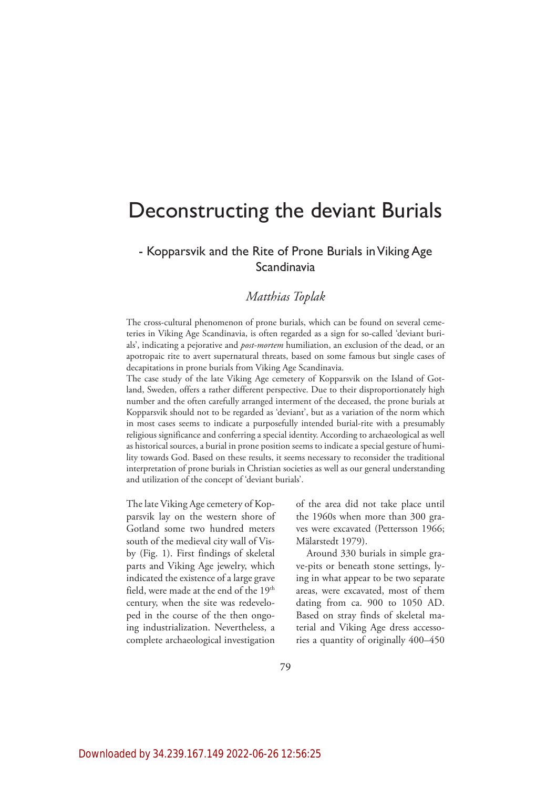# Deconstructing the deviant Burials

# - Kopparsvik and the Rite of Prone Burials in Viking Age **Scandinavia**

# *Matthias Toplak*

The cross-cultural phenomenon of prone burials, which can be found on several cemeteries in Viking Age Scandinavia, is often regarded as a sign for so-called 'deviant burials', indicating a pejorative and *post-mortem* humiliation, an exclusion of the dead, or an apotropaic rite to avert supernatural threats, based on some famous but single cases of decapitations in prone burials from Viking Age Scandinavia.

The case study of the late Viking Age cemetery of Kopparsvik on the Island of Gotland, Sweden, offers a rather different perspective. Due to their disproportionately high number and the often carefully arranged interment of the deceased, the prone burials at Kopparsvik should not to be regarded as 'deviant', but as a variation of the norm which in most cases seems to indicate a purposefully intended burial-rite with a presumably religious significance and conferring a special identity. According to archaeological as well as historical sources, a burial in prone position seems to indicate a special gesture of humility towards God. Based on these results, it seems necessary to reconsider the traditional interpretation of prone burials in Christian societies as well as our general understanding and utilization of the concept of 'deviant burials'.

The late Viking Age cemetery of Kopparsvik lay on the western shore of Gotland some two hundred meters south of the medieval city wall of Visby (Fig. 1). First findings of skeletal parts and Viking Age jewelry, which indicated the existence of a large grave field, were made at the end of the 19<sup>th</sup> century, when the site was redeveloped in the course of the then ongoing industrialization. Nevertheless, a complete archaeological investigation

of the area did not take place until the 1960s when more than 300 graves were excavated (Pettersson 1966; Mälarstedt 1979).

Around 330 burials in simple grave-pits or beneath stone settings, lying in what appear to be two separate areas, were excavated, most of them dating from ca. 900 to 1050 AD. Based on stray finds of skeletal material and Viking Age dress accessories a quantity of originally 400–450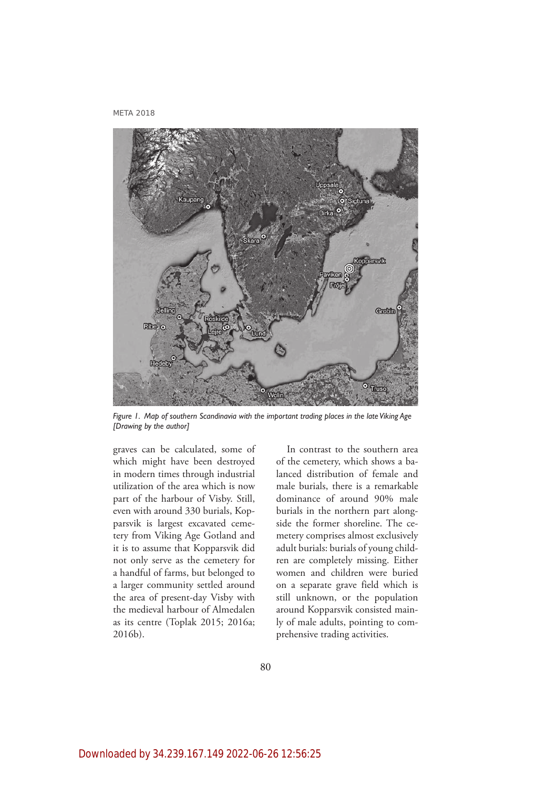

*Figure 1. Map of southern Scandinavia with the important trading places in the late Viking Age [Drawing by the author]*

graves can be calculated, some of which might have been destroyed in modern times through industrial utilization of the area which is now part of the harbour of Visby. Still, even with around 330 burials, Kopparsvik is largest excavated cemetery from Viking Age Gotland and it is to assume that Kopparsvik did not only serve as the cemetery for a handful of farms, but belonged to a larger community settled around the area of present-day Visby with the medieval harbour of Almedalen as its centre (Toplak 2015; 2016a; 2016b).

In contrast to the southern area of the cemetery, which shows a balanced distribution of female and male burials, there is a remarkable dominance of around 90% male burials in the northern part alongside the former shoreline. The cemetery comprises almost exclusively adult burials: burials of young children are completely missing. Either women and children were buried on a separate grave field which is still unknown, or the population around Kopparsvik consisted mainly of male adults, pointing to comprehensive trading activities.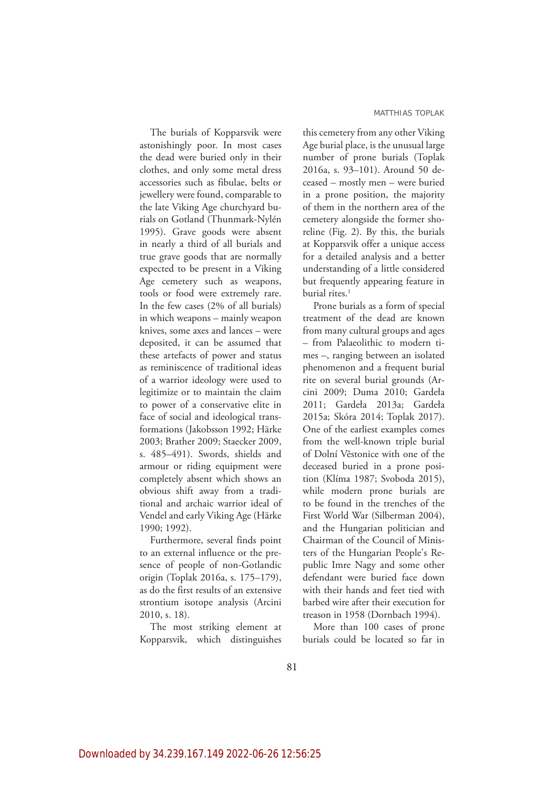The burials of Kopparsvik were astonishingly poor. In most cases the dead were buried only in their clothes, and only some metal dress accessories such as fibulae, belts or jewellery were found, comparable to the late Viking Age churchyard burials on Gotland (Thunmark-Nylén 1995). Grave goods were absent in nearly a third of all burials and true grave goods that are normally expected to be present in a Viking Age cemetery such as weapons, tools or food were extremely rare. In the few cases (2% of all burials) in which weapons – mainly weapon knives, some axes and lances – were deposited, it can be assumed that these artefacts of power and status as reminiscence of traditional ideas of a warrior ideology were used to legitimize or to maintain the claim to power of a conservative elite in face of social and ideological transformations (Jakobsson 1992; Härke 2003; Brather 2009; Staecker 2009, s. 485–491). Swords, shields and armour or riding equipment were completely absent which shows an obvious shift away from a traditional and archaic warrior ideal of Vendel and early Viking Age (Härke 1990; 1992).

Furthermore, several finds point to an external influence or the presence of people of non-Gotlandic origin (Toplak 2016a, s. 175–179), as do the first results of an extensive strontium isotope analysis (Arcini 2010, s. 18).

The most striking element at Kopparsvik, which distinguishes this cemetery from any other Viking Age burial place, is the unusual large number of prone burials (Toplak 2016a, s. 93–101). Around 50 deceased – mostly men – were buried in a prone position, the majority of them in the northern area of the cemetery alongside the former shoreline (Fig. 2). By this, the burials at Kopparsvik offer a unique access for a detailed analysis and a better understanding of a little considered but frequently appearing feature in burial rites.<sup>1</sup>

Prone burials as a form of special treatment of the dead are known from many cultural groups and ages – from Palaeolithic to modern times –, ranging between an isolated phenomenon and a frequent burial rite on several burial grounds (Arcini 2009; Duma 2010; Gardeła 2011; Gardeła 2013a; Gardeła 2015a; Skóra 2014; Toplak 2017). One of the earliest examples comes from the well-known triple burial of Dolní Věstonice with one of the deceased buried in a prone position (Klíma 1987; Svoboda 2015), while modern prone burials are to be found in the trenches of the First World War (Silberman 2004), and the Hungarian politician and Chairman of the Council of Ministers of the Hungarian People's Republic Imre Nagy and some other defendant were buried face down with their hands and feet tied with barbed wire after their execution for treason in 1958 (Dornbach 1994).

More than 100 cases of prone burials could be located so far in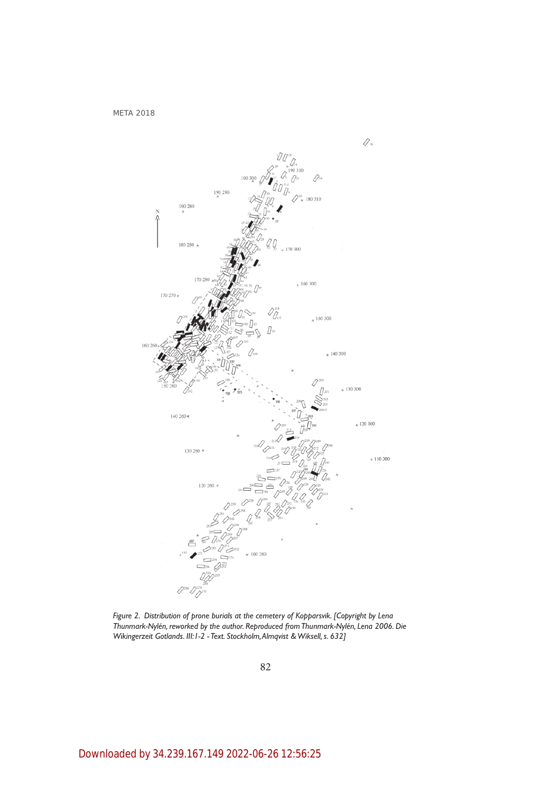

*Figure 2. Distribution of prone burials at the cemetery of Kopparsvik. [Copyright by Lena Thunmark-Nylén, reworked by the author. Reproduced from Thunmark-Nylén, Lena 2006. Die Wikingerzeit Gotlands. III:1-2 - Text. Stockholm, Almqvist & Wiksell, s. 632]*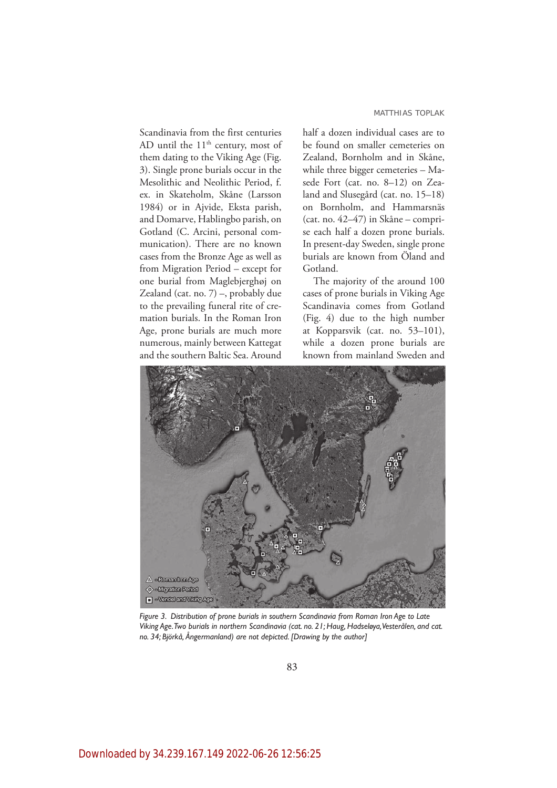#### MATTHIAS TOPLAK

Scandinavia from the first centuries AD until the  $11<sup>th</sup>$  century, most of them dating to the Viking Age (Fig. 3). Single prone burials occur in the Mesolithic and Neolithic Period, f. ex. in Skateholm, Skåne (Larsson 1984) or in Ajvide, Eksta parish, and Domarve, Hablingbo parish, on Gotland (C. Arcini, personal communication). There are no known cases from the Bronze Age as well as from Migration Period – except for one burial from Maglebjerghøj on Zealand (cat. no. 7) –, probably due to the prevailing funeral rite of cremation burials. In the Roman Iron Age, prone burials are much more numerous, mainly between Kattegat and the southern Baltic Sea. Around half a dozen individual cases are to be found on smaller cemeteries on Zealand, Bornholm and in Skåne, while three bigger cemeteries – Masede Fort (cat. no. 8–12) on Zealand and Slusegård (cat. no. 15–18) on Bornholm, and Hammarsnäs (cat. no. 42–47) in Skåne – comprise each half a dozen prone burials. In present-day Sweden, single prone burials are known from Öland and Gotland.

The majority of the around 100 cases of prone burials in Viking Age Scandinavia comes from Gotland (Fig. 4) due to the high number at Kopparsvik (cat. no. 53–101), while a dozen prone burials are known from mainland Sweden and



*Figure 3. Distribution of prone burials in southern Scandinavia from Roman Iron Age to Late Viking Age. Two burials in northern Scandinavia (cat. no. 21; Haug, Hadseløya, Vesterålen, and cat. no. 34; Björkå, Ångermanland) are not depicted. [Drawing by the author]*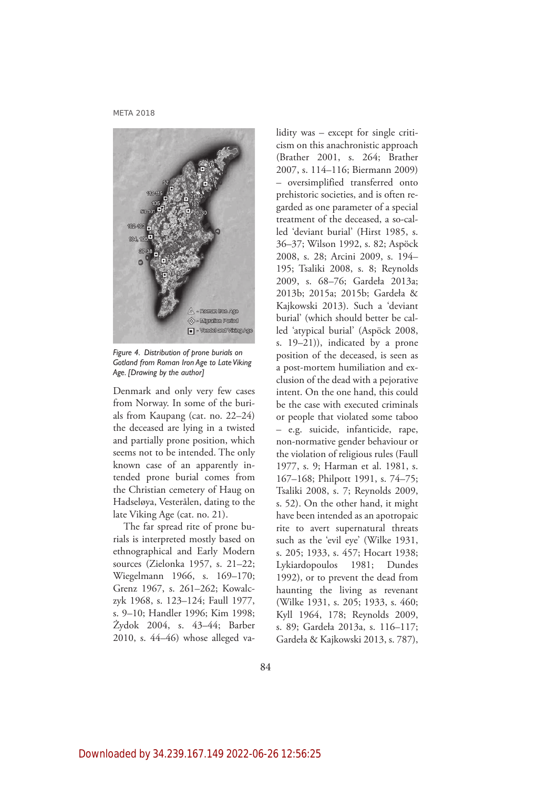

*Figure 4. Distribution of prone burials on Gotland from Roman Iron Age to Late Viking Age. [Drawing by the author]*

Denmark and only very few cases from Norway. In some of the burials from Kaupang (cat. no. 22–24) the deceased are lying in a twisted and partially prone position, which seems not to be intended. The only known case of an apparently intended prone burial comes from the Christian cemetery of Haug on Hadseløya, Vesterålen, dating to the late Viking Age (cat. no. 21).

The far spread rite of prone burials is interpreted mostly based on ethnographical and Early Modern sources (Zielonka 1957, s. 21–22; Wiegelmann 1966, s. 169–170; Grenz 1967, s. 261–262; Kowalczyk 1968, s. 123–124; Faull 1977, s. 9–10; Handler 1996; Kim 1998; Żydok 2004, s. 43–44; Barber 2010, s. 44–46) whose alleged va-

lidity was – except for single criticism on this anachronistic approach (Brather 2001, s. 264; Brather 2007, s. 114–116; Biermann 2009) – oversimplified transferred onto prehistoric societies, and is often regarded as one parameter of a special treatment of the deceased, a so-called 'deviant burial' (Hirst 1985, s. 36–37; Wilson 1992, s. 82; Aspöck 2008, s. 28; Arcini 2009, s. 194– 195; Tsaliki 2008, s. 8; Reynolds 2009, s. 68–76; Gardeła 2013a; 2013b; 2015a; 2015b; Gardeła & Kajkowski 2013). Such a 'deviant burial' (which should better be called 'atypical burial' (Aspöck 2008, s. 19–21)), indicated by a prone position of the deceased, is seen as a post-mortem humiliation and exclusion of the dead with a pejorative intent. On the one hand, this could be the case with executed criminals or people that violated some taboo – e.g. suicide, infanticide, rape, non-normative gender behaviour or the violation of religious rules (Faull 1977, s. 9; Harman et al. 1981, s. 167–168; Philpott 1991, s. 74–75; Tsaliki 2008, s. 7; Reynolds 2009, s. 52). On the other hand, it might have been intended as an apotropaic rite to avert supernatural threats such as the 'evil eye' (Wilke 1931, s. 205; 1933, s. 457; Hocart 1938; Lykiardopoulos 1981; Dundes 1992), or to prevent the dead from haunting the living as revenant (Wilke 1931, s. 205; 1933, s. 460; Kyll 1964, 178; Reynolds 2009, s. 89; Gardeła 2013a, s. 116–117; Gardeła & Kajkowski 2013, s. 787),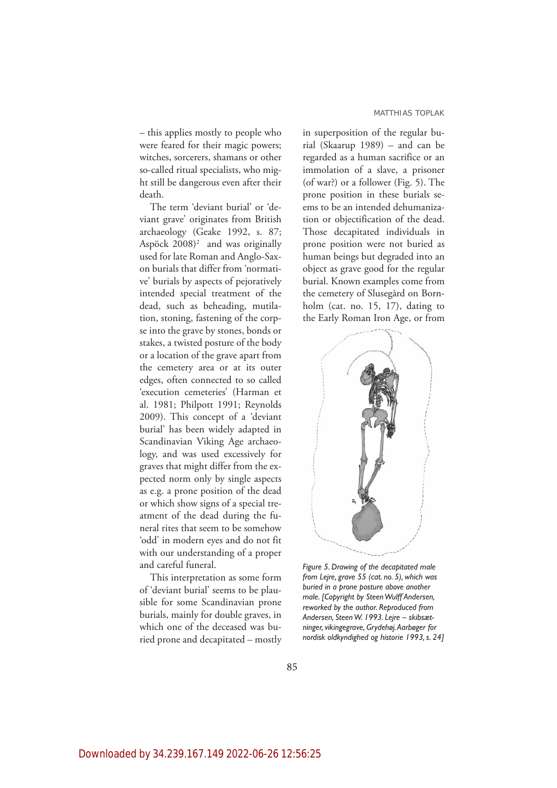– this applies mostly to people who were feared for their magic powers; witches, sorcerers, shamans or other so-called ritual specialists, who might still be dangerous even after their death.

The term 'deviant burial' or 'deviant grave' originates from British archaeology (Geake 1992, s. 87; Aspöck  $2008$ <sup>2</sup> and was originally used for late Roman and Anglo-Saxon burials that differ from 'normative' burials by aspects of pejoratively intended special treatment of the dead, such as beheading, mutilation, stoning, fastening of the corpse into the grave by stones, bonds or stakes, a twisted posture of the body or a location of the grave apart from the cemetery area or at its outer edges, often connected to so called 'execution cemeteries' (Harman et al. 1981; Philpott 1991; Reynolds 2009). This concept of a 'deviant burial' has been widely adapted in Scandinavian Viking Age archaeology, and was used excessively for graves that might differ from the expected norm only by single aspects as e.g. a prone position of the dead or which show signs of a special treatment of the dead during the funeral rites that seem to be somehow 'odd' in modern eyes and do not fit with our understanding of a proper and careful funeral.

This interpretation as some form of 'deviant burial' seems to be plausible for some Scandinavian prone burials, mainly for double graves, in which one of the deceased was buried prone and decapitated – mostly in superposition of the regular burial (Skaarup 1989) – and can be regarded as a human sacrifice or an immolation of a slave, a prisoner (of war?) or a follower (Fig. 5). The prone position in these burials seems to be an intended dehumanization or objectification of the dead. Those decapitated individuals in prone position were not buried as human beings but degraded into an object as grave good for the regular burial. Known examples come from the cemetery of Slusegård on Bornholm (cat. no. 15, 17), dating to the Early Roman Iron Age, or from



*Figure 5. Drawing of the decapitated male from Lejre, grave 55 (cat. no. 5), which was buried in a prone posture above another male. [Copyright by Steen Wulff Andersen, reworked by the author. Reproduced from Andersen, Steen W. 1993. Lejre – skibsætninger, vikingegrave, Grydehøj. Aarbøger for nordisk oldkyndighed og historie 1993, s. 24]*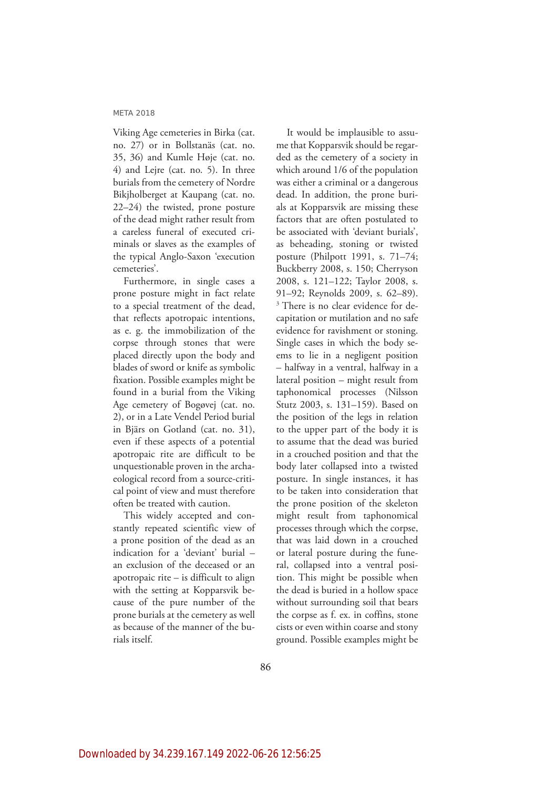Viking Age cemeteries in Birka (cat. no. 27) or in Bollstanäs (cat. no. 35, 36) and Kumle Høje (cat. no. 4) and Lejre (cat. no. 5). In three burials from the cemetery of Nordre Bikjholberget at Kaupang (cat. no. 22–24) the twisted, prone posture of the dead might rather result from a careless funeral of executed criminals or slaves as the examples of the typical Anglo-Saxon 'execution cemeteries'.

Furthermore, in single cases a prone posture might in fact relate to a special treatment of the dead, that reflects apotropaic intentions, as e. g. the immobilization of the corpse through stones that were placed directly upon the body and blades of sword or knife as symbolic fixation. Possible examples might be found in a burial from the Viking Age cemetery of Bogøvej (cat. no. 2), or in a Late Vendel Period burial in Bjärs on Gotland (cat. no. 31), even if these aspects of a potential apotropaic rite are difficult to be unquestionable proven in the archaeological record from a source-critical point of view and must therefore often be treated with caution.

This widely accepted and constantly repeated scientific view of a prone position of the dead as an indication for a 'deviant' burial – an exclusion of the deceased or an apotropaic rite – is difficult to align with the setting at Kopparsvik because of the pure number of the prone burials at the cemetery as well as because of the manner of the burials itself.

It would be implausible to assume that Kopparsvik should be regarded as the cemetery of a society in which around 1/6 of the population was either a criminal or a dangerous dead. In addition, the prone burials at Kopparsvik are missing these factors that are often postulated to be associated with 'deviant burials', as beheading, stoning or twisted posture (Philpott 1991, s. 71–74; Buckberry 2008, s. 150; Cherryson 2008, s. 121–122; Taylor 2008, s. 91–92; Reynolds 2009, s. 62–89). <sup>3</sup> There is no clear evidence for decapitation or mutilation and no safe evidence for ravishment or stoning. Single cases in which the body seems to lie in a negligent position – halfway in a ventral, halfway in a lateral position – might result from taphonomical processes (Nilsson Stutz 2003, s. 131–159). Based on the position of the legs in relation to the upper part of the body it is to assume that the dead was buried in a crouched position and that the body later collapsed into a twisted posture. In single instances, it has to be taken into consideration that the prone position of the skeleton might result from taphonomical processes through which the corpse, that was laid down in a crouched or lateral posture during the funeral, collapsed into a ventral position. This might be possible when the dead is buried in a hollow space without surrounding soil that bears the corpse as f. ex. in coffins, stone cists or even within coarse and stony ground. Possible examples might be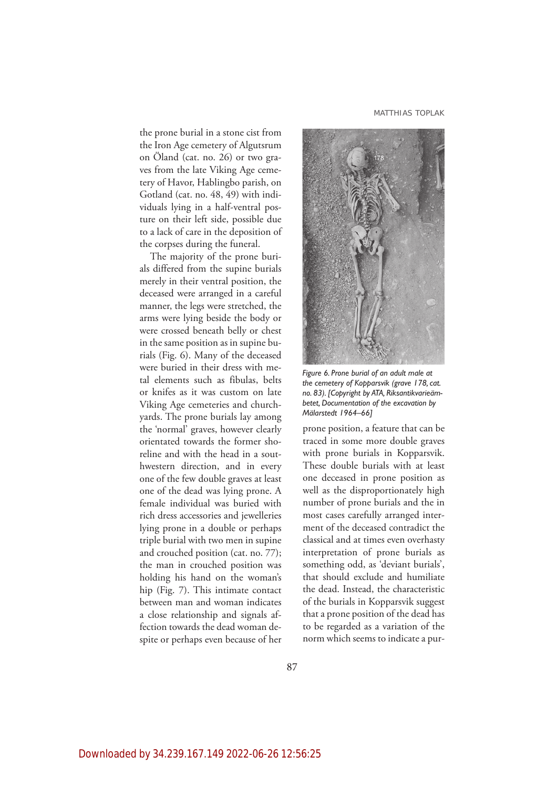MATTHIAS TOPLAK

the prone burial in a stone cist from the Iron Age cemetery of Algutsrum on Öland (cat. no. 26) or two graves from the late Viking Age cemetery of Havor, Hablingbo parish, on Gotland (cat. no. 48, 49) with individuals lying in a half-ventral posture on their left side, possible due to a lack of care in the deposition of the corpses during the funeral.

The majority of the prone burials differed from the supine burials merely in their ventral position, the deceased were arranged in a careful manner, the legs were stretched, the arms were lying beside the body or were crossed beneath belly or chest in the same position as in supine burials (Fig. 6). Many of the deceased were buried in their dress with metal elements such as fibulas, belts or knifes as it was custom on late Viking Age cemeteries and churchyards. The prone burials lay among the 'normal' graves, however clearly orientated towards the former shoreline and with the head in a southwestern direction, and in every one of the few double graves at least one of the dead was lying prone. A female individual was buried with rich dress accessories and jewelleries lying prone in a double or perhaps triple burial with two men in supine and crouched position (cat. no. 77); the man in crouched position was holding his hand on the woman's hip (Fig. 7). This intimate contact between man and woman indicates a close relationship and signals affection towards the dead woman despite or perhaps even because of her



*Figure 6. Prone burial of an adult male at the cemetery of Kopparsvik (grave 178, cat. no. 83). [Copyright by ATA, Riksantikvarieämbetet, Documentation of the excavation by Mälarstedt 1964–66]*

prone position, a feature that can be traced in some more double graves with prone burials in Kopparsvik. These double burials with at least one deceased in prone position as well as the disproportionately high number of prone burials and the in most cases carefully arranged interment of the deceased contradict the classical and at times even overhasty interpretation of prone burials as something odd, as 'deviant burials', that should exclude and humiliate the dead. Instead, the characteristic of the burials in Kopparsvik suggest that a prone position of the dead has to be regarded as a variation of the norm which seems to indicate a pur-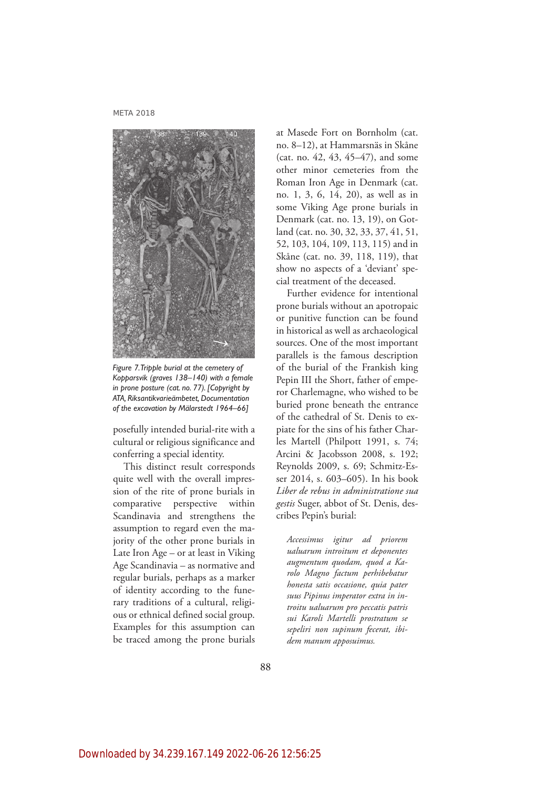

*Figure 7. Tripple burial at the cemetery of Kopparsvik (graves 138–140) with a female in prone posture (cat. no. 77). [Copyright by ATA, Riksantikvarieämbetet, Documentation of the excavation by Mälarstedt 1964–66]*

posefully intended burial-rite with a cultural or religious significance and conferring a special identity.

This distinct result corresponds quite well with the overall impression of the rite of prone burials in comparative perspective within Scandinavia and strengthens the assumption to regard even the majority of the other prone burials in Late Iron Age – or at least in Viking Age Scandinavia – as normative and regular burials, perhaps as a marker of identity according to the funerary traditions of a cultural, religious or ethnical defined social group. Examples for this assumption can be traced among the prone burials at Masede Fort on Bornholm (cat. no. 8–12), at Hammarsnäs in Skåne (cat. no. 42, 43, 45–47), and some other minor cemeteries from the Roman Iron Age in Denmark (cat. no. 1, 3, 6, 14, 20), as well as in some Viking Age prone burials in Denmark (cat. no. 13, 19), on Gotland (cat. no. 30, 32, 33, 37, 41, 51, 52, 103, 104, 109, 113, 115) and in Skåne (cat. no. 39, 118, 119), that show no aspects of a 'deviant' special treatment of the deceased.

Further evidence for intentional prone burials without an apotropaic or punitive function can be found in historical as well as archaeological sources. One of the most important parallels is the famous description of the burial of the Frankish king Pepin III the Short, father of emperor Charlemagne, who wished to be buried prone beneath the entrance of the cathedral of St. Denis to expiate for the sins of his father Charles Martell (Philpott 1991, s. 74; Arcini & Jacobsson 2008, s. 192; Reynolds 2009, s. 69; Schmitz-Esser 2014, s. 603–605). In his book *Liber de rebus in administratione sua gestis* Suger, abbot of St. Denis, describes Pepin's burial:

*Accessimus igitur ad priorem ualuarum introitum et deponentes augmentum quodam, quod a Karolo Magno factum perhibebatur honesta satis occasione, quia pater suus Pipinus imperator extra in introitu ualuarum pro peccatis patris sui Karoli Martelli prostratum se sepeliri non supinum fecerat, ibidem manum apposuimus.*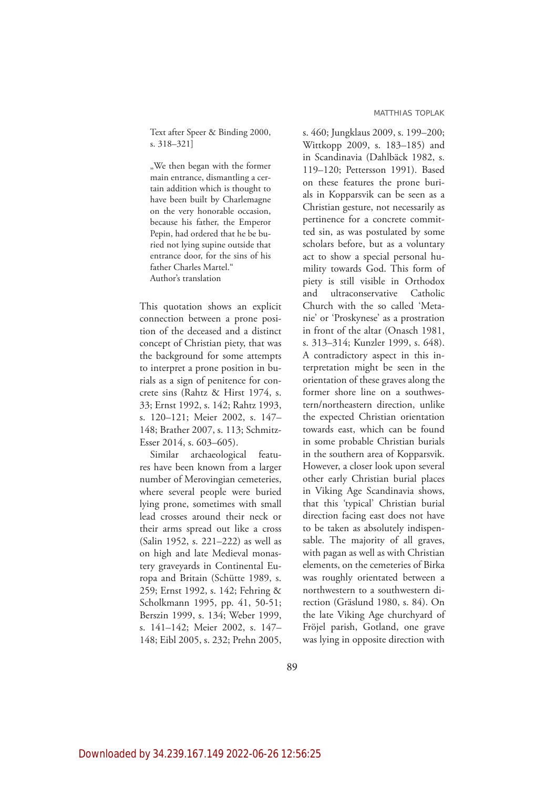Text after Speer & Binding 2000, s. 318–321]

"We then began with the former main entrance, dismantling a certain addition which is thought to have been built by Charlemagne on the very honorable occasion, because his father, the Emperor Pepin, had ordered that he be buried not lying supine outside that entrance door, for the sins of his father Charles Martel." Author's translation

This quotation shows an explicit connection between a prone position of the deceased and a distinct concept of Christian piety, that was the background for some attempts to interpret a prone position in burials as a sign of penitence for concrete sins (Rahtz & Hirst 1974, s. 33; Ernst 1992, s. 142; Rahtz 1993, s. 120–121; Meier 2002, s. 147– 148; Brather 2007, s. 113; Schmitz-Esser 2014, s. 603–605).

Similar archaeological features have been known from a larger number of Merovingian cemeteries, where several people were buried lying prone, sometimes with small lead crosses around their neck or their arms spread out like a cross (Salin 1952, s. 221–222) as well as on high and late Medieval monastery graveyards in Continental Europa and Britain (Schütte 1989, s. 259; Ernst 1992, s. 142; Fehring & Scholkmann 1995, pp. 41, 50-51; Berszin 1999, s. 134; Weber 1999, s. 141–142; Meier 2002, s. 147– 148; Eibl 2005, s. 232; Prehn 2005, s. 460; Jungklaus 2009, s. 199–200; Wittkopp 2009, s. 183–185) and in Scandinavia (Dahlbäck 1982, s. 119–120; Pettersson 1991). Based on these features the prone burials in Kopparsvik can be seen as a Christian gesture, not necessarily as pertinence for a concrete committed sin, as was postulated by some scholars before, but as a voluntary act to show a special personal humility towards God. This form of piety is still visible in Orthodox and ultraconservative Catholic Church with the so called 'Metanie' or 'Proskynese' as a prostration in front of the altar (Onasch 1981, s. 313–314; Kunzler 1999, s. 648). A contradictory aspect in this interpretation might be seen in the orientation of these graves along the former shore line on a southwestern/northeastern direction, unlike the expected Christian orientation towards east, which can be found in some probable Christian burials in the southern area of Kopparsvik. However, a closer look upon several other early Christian burial places in Viking Age Scandinavia shows, that this 'typical' Christian burial direction facing east does not have to be taken as absolutely indispensable. The majority of all graves, with pagan as well as with Christian elements, on the cemeteries of Birka was roughly orientated between a northwestern to a southwestern direction (Gräslund 1980, s. 84). On the late Viking Age churchyard of Fröjel parish, Gotland, one grave was lying in opposite direction with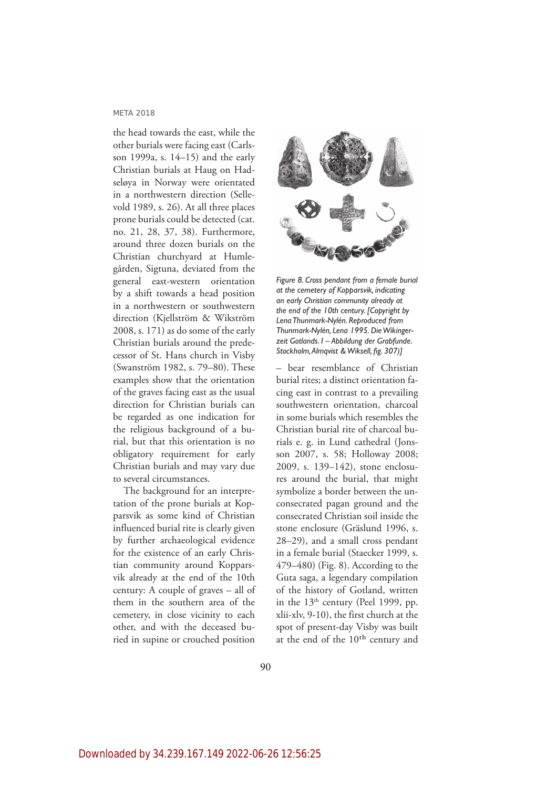the head towards the east, while the other burials were facing east (Carlsson 1999a, s. 14–15) and the early Christian burials at Haug on Hadseløya in Norway were orientated in a northwestern direction (Sellevold 1989, s. 26). At all three places prone burials could be detected (cat. no. 21, 28, 37, 38). Furthermore, around three dozen burials on the Christian churchyard at Humlegården, Sigtuna, deviated from the general east-western orientation by a shift towards a head position in a northwestern or southwestern direction (Kjellström & Wikström 2008, s. 171) as do some of the early Christian burials around the predecessor of St. Hans church in Visby (Swanström 1982, s. 79–80). These examples show that the orientation of the graves facing east as the usual direction for Christian burials can be regarded as one indication for the religious background of a burial, but that this orientation is no obligatory requirement for early Christian burials and may vary due to several circumstances.

The background for an interpretation of the prone burials at Kopparsvik as some kind of Christian influenced burial rite is clearly given by further archaeological evidence for the existence of an early Christian community around Kopparsvik already at the end of the 10th century: A couple of graves – all of them in the southern area of the cemetery, in close vicinity to each other, and with the deceased buried in supine or crouched position



*Figure 8. Cross pendant from a female burial at the cemetery of Kopparsvik, indicating an early Christian community already at the end of the 10th century. [Copyright by Lena Thunmark-Nylén. Reproduced from Thunmark-Nylén, Lena 1995. Die Wikingerzeit Gotlands. I – Abbildung der Grabfunde. Stockholm, Almqvist & Wiksell, fig. 307)]*

– bear resemblance of Christian burial rites; a distinct orientation facing east in contrast to a prevailing southwestern orientation, charcoal in some burials which resembles the Christian burial rite of charcoal burials e. g. in Lund cathedral (Jonsson 2007, s. 58; Holloway 2008; 2009, s. 139–142), stone enclosures around the burial, that might symbolize a border between the unconsecrated pagan ground and the consecrated Christian soil inside the stone enclosure (Gräslund 1996, s. 28–29), and a small cross pendant in a female burial (Staecker 1999, s. 479–480) (Fig. 8). According to the Guta saga, a legendary compilation of the history of Gotland, written in the  $13<sup>th</sup>$  century (Peel 1999, pp. xlii-xlv, 9-10), the first church at the spot of present-day Visby was built at the end of the 10th century and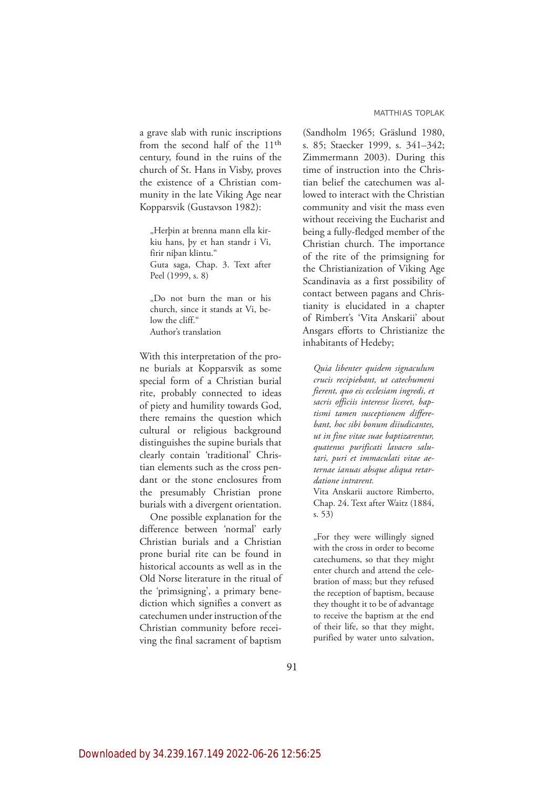a grave slab with runic inscriptions from the second half of the 11th century, found in the ruins of the church of St. Hans in Visby, proves the existence of a Christian community in the late Viking Age near Kopparsvik (Gustavson 1982):

"Herþin at brenna mann ella kirkiu hans, þy et han standr i Vi, firir niþan klintu." Guta saga, Chap. 3. Text after Peel (1999, s. 8)

"Do not burn the man or his church, since it stands at Vi, below the cliff." Author's translation

With this interpretation of the prone burials at Kopparsvik as some special form of a Christian burial rite, probably connected to ideas of piety and humility towards God, there remains the question which cultural or religious background distinguishes the supine burials that clearly contain 'traditional' Christian elements such as the cross pendant or the stone enclosures from the presumably Christian prone burials with a divergent orientation.

One possible explanation for the difference between 'normal' early Christian burials and a Christian prone burial rite can be found in historical accounts as well as in the Old Norse literature in the ritual of the 'primsigning', a primary benediction which signifies a convert as catechumen under instruction of the Christian community before receiving the final sacrament of baptism

(Sandholm 1965; Gräslund 1980, s. 85; Staecker 1999, s. 341–342; Zimmermann 2003). During this time of instruction into the Christian belief the catechumen was allowed to interact with the Christian community and visit the mass even without receiving the Eucharist and being a fully-fledged member of the Christian church. The importance of the rite of the primsigning for the Christianization of Viking Age Scandinavia as a first possibility of contact between pagans and Christianity is elucidated in a chapter of Rimbert's 'Vita Anskarii' about Ansgars efforts to Christianize the inhabitants of Hedeby;

*Quia libenter quidem signaculum crucis recipiebant, ut catechumeni fierent, quo eis ecclesiam ingredi, et sacris officiis interesse liceret, baptismi tamen susceptionem differebant, hoc sibi bonum diiudicantes, ut in fine vitae suae baptizarentur, quatenus purificati lavacro salutari, puri et immaculati vitae aeternae ianuas absque aliqua retardatione intrarent.*

Vita Anskarii auctore Rimberto, Chap. 24. Text after Waitz (1884, s. 53)

"For they were willingly signed with the cross in order to become catechumens, so that they might enter church and attend the celebration of mass; but they refused the reception of baptism, because they thought it to be of advantage to receive the baptism at the end of their life, so that they might, purified by water unto salvation,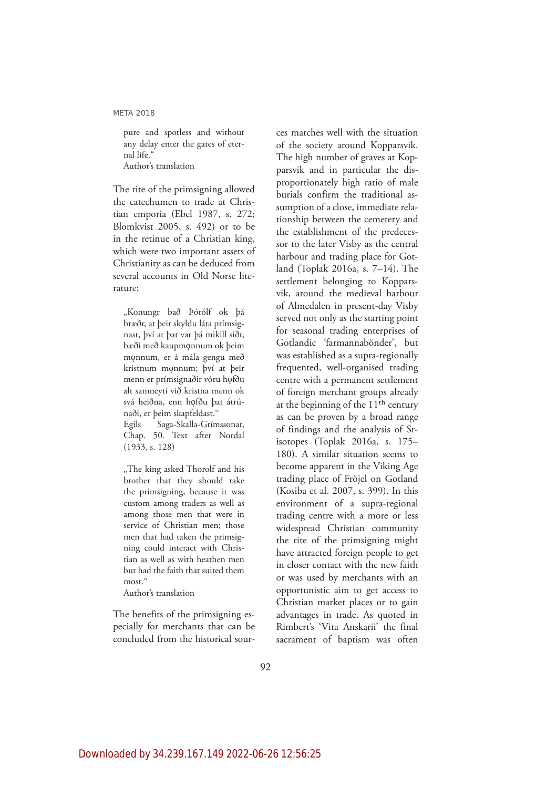pure and spotless and without any delay enter the gates of eternal life." Author's translation

The rite of the primsigning allowed the catechumen to trade at Christian emporia (Ebel 1987, s. 272; Blomkvist 2005, s. 492) or to be in the retinue of a Christian king, which were two important assets of Christianity as can be deduced from several accounts in Old Norse literature;

"Konungr bað Þórólf ok þá bræðr, at þeir skyldu láta prímsignast, því at þat var þá mikill siðr, bæði með kaupmǫnnum ok þeim mǫnnum, er á mála gengu með kristnum mǫnnum; því at þeir menn er prímsignaðir vóru hǫfðu alt samneyti við kristna menn ok svá heiðna, enn hǫfðu þat átrúnaði, er þeim skapfeldast."

Egils Saga-Skalla-Grímssonar, Chap. 50. Text after Nordal (1933, s. 128)

"The king asked Thorolf and his brother that they should take the primsigning, because it was custom among traders as well as among those men that were in service of Christian men; those men that had taken the primsigning could interact with Christian as well as with heathen men but had the faith that suited them most<sup>"</sup>

Author's translation

The benefits of the primsigning especially for merchants that can be concluded from the historical sour-

ces matches well with the situation of the society around Kopparsvik. The high number of graves at Kopparsvik and in particular the disproportionately high ratio of male burials confirm the traditional assumption of a close, immediate relationship between the cemetery and the establishment of the predecessor to the later Visby as the central harbour and trading place for Gotland (Toplak 2016a, s. 7–14). The settlement belonging to Kopparsvik, around the medieval harbour of Almedalen in present-day Visby served not only as the starting point for seasonal trading enterprises of Gotlandic 'farmannabönder', but was established as a supra-regionally frequented, well-organised trading centre with a permanent settlement of foreign merchant groups already at the beginning of the  $11<sup>th</sup>$  century as can be proven by a broad range of findings and the analysis of Srisotopes (Toplak 2016a, s. 175– 180). A similar situation seems to become apparent in the Viking Age trading place of Fröjel on Gotland (Kosiba et al. 2007, s. 399). In this environment of a supra-regional trading centre with a more or less widespread Christian community the rite of the primsigning might have attracted foreign people to get in closer contact with the new faith or was used by merchants with an opportunistic aim to get access to Christian market places or to gain advantages in trade. As quoted in Rimbert's 'Vita Anskarii' the final sacrament of baptism was often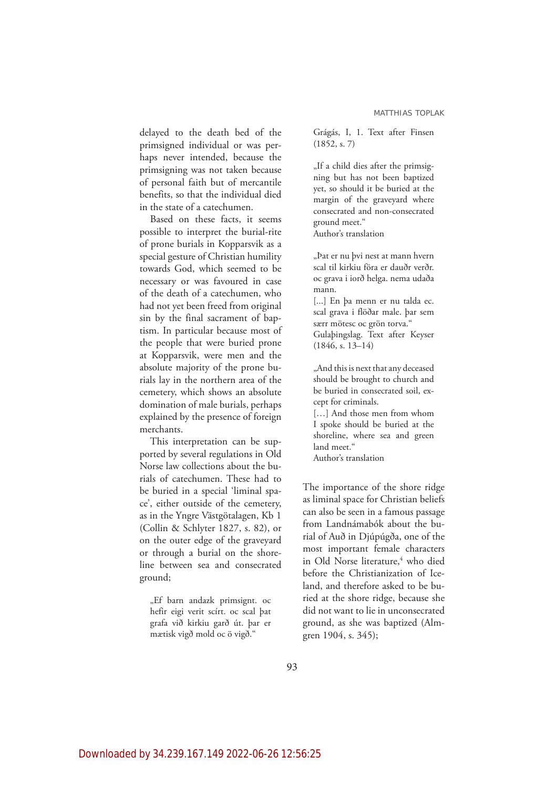delayed to the death bed of the primsigned individual or was perhaps never intended, because the primsigning was not taken because of personal faith but of mercantile benefits, so that the individual died in the state of a catechumen.

Based on these facts, it seems possible to interpret the burial-rite of prone burials in Kopparsvik as a special gesture of Christian humility towards God, which seemed to be necessary or was favoured in case of the death of a catechumen, who had not yet been freed from original sin by the final sacrament of baptism. In particular because most of the people that were buried prone at Kopparsvik, were men and the absolute majority of the prone burials lay in the northern area of the cemetery, which shows an absolute domination of male burials, perhaps explained by the presence of foreign merchants.

This interpretation can be supported by several regulations in Old Norse law collections about the burials of catechumen. These had to be buried in a special 'liminal space', either outside of the cemetery, as in the Yngre Västgötalagen, Kb 1 (Collin & Schlyter 1827, s. 82), or on the outer edge of the graveyard or through a burial on the shoreline between sea and consecrated ground;

"Ef barn andazk primsignt. oc hefir eigi verit scírt. oc scal þat grafa við kirkiu garð út. þar er mætisk vigð mold oc ö vigð."

Grágás, I, 1. Text after Finsen (1852, s. 7)

"If a child dies after the primsigning but has not been baptized yet, so should it be buried at the margin of the graveyard where consecrated and non-consecrated ground meet."

Author's translation

"Þat er nu þvi nest at mann hvern scal til kirkiu föra er dauðr verðr. oc grava i iorð helga. nema udaða mann.

[...] En þa menn er nu talda ec. scal grava i flöðar male. þar sem særr mötesc oc grön torva." Gulaþingslag. Text after Keyser (1846, s. 13–14)

"And this is next that any deceased should be brought to church and

be buried in consecrated soil, except for criminals.

[…] And those men from whom I spoke should be buried at the shoreline, where sea and green land meet." Author's translation

The importance of the shore ridge as liminal space for Christian beliefs can also be seen in a famous passage from Landnámabók about the burial of Auð in Djúpúgða, one of the most important female characters in Old Norse literature,<sup>4</sup> who died before the Christianization of Iceland, and therefore asked to be buried at the shore ridge, because she did not want to lie in unconsecrated ground, as she was baptized (Almgren 1904, s. 345);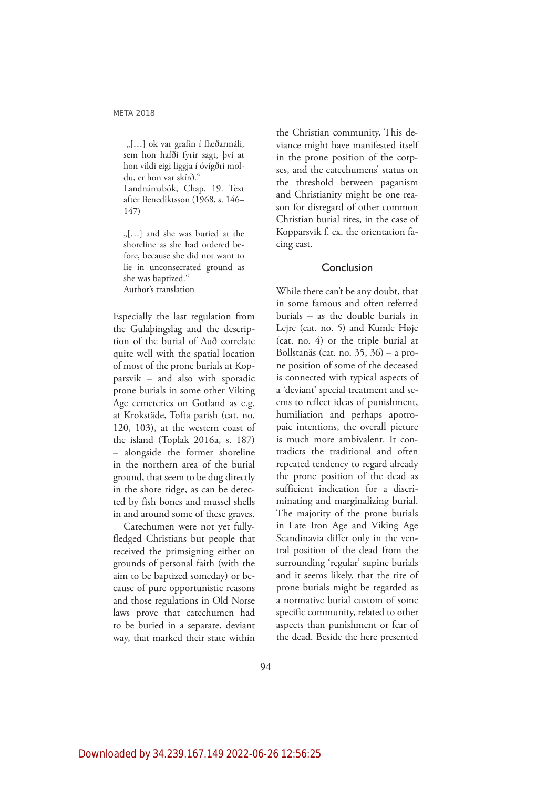"[...] ok var grafin í flæðarmáli, sem hon hafði fyrir sagt, því at hon vildi eigi liggja í óvígðri moldu, er hon var skírð." Landnámabók, Chap. 19. Text after Benediktsson (1968, s. 146– 147)

"[...] and she was buried at the shoreline as she had ordered before, because she did not want to lie in unconsecrated ground as she was baptized." Author's translation

Especially the last regulation from the Gulaþingslag and the description of the burial of Auð correlate quite well with the spatial location of most of the prone burials at Kopparsvik – and also with sporadic prone burials in some other Viking Age cemeteries on Gotland as e.g. at Krokstäde, Tofta parish (cat. no. 120, 103), at the western coast of the island (Toplak 2016a, s. 187) – alongside the former shoreline in the northern area of the burial ground, that seem to be dug directly in the shore ridge, as can be detected by fish bones and mussel shells in and around some of these graves.

Catechumen were not yet fullyfledged Christians but people that received the primsigning either on grounds of personal faith (with the aim to be baptized someday) or because of pure opportunistic reasons and those regulations in Old Norse laws prove that catechumen had to be buried in a separate, deviant way, that marked their state within the Christian community. This deviance might have manifested itself in the prone position of the corpses, and the catechumens' status on the threshold between paganism and Christianity might be one reason for disregard of other common Christian burial rites, in the case of Kopparsvik f. ex. the orientation facing east.

### Conclusion

While there can't be any doubt, that in some famous and often referred burials – as the double burials in Lejre (cat. no. 5) and Kumle Høje (cat. no. 4) or the triple burial at Bollstanäs (cat. no. 35, 36) – a prone position of some of the deceased is connected with typical aspects of a 'deviant' special treatment and seems to reflect ideas of punishment, humiliation and perhaps apotropaic intentions, the overall picture is much more ambivalent. It contradicts the traditional and often repeated tendency to regard already the prone position of the dead as sufficient indication for a discriminating and marginalizing burial. The majority of the prone burials in Late Iron Age and Viking Age Scandinavia differ only in the ventral position of the dead from the surrounding 'regular' supine burials and it seems likely, that the rite of prone burials might be regarded as a normative burial custom of some specific community, related to other aspects than punishment or fear of the dead. Beside the here presented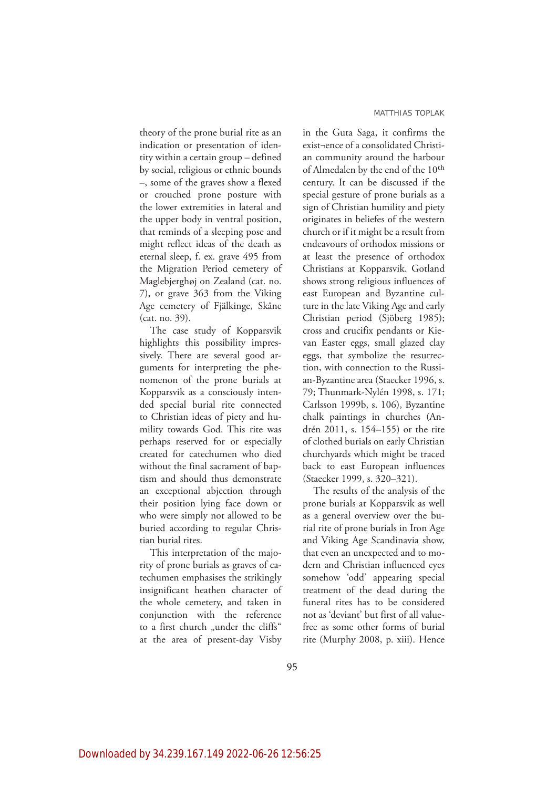theory of the prone burial rite as an indication or presentation of identity within a certain group – defined by social, religious or ethnic bounds –, some of the graves show a flexed or crouched prone posture with the lower extremities in lateral and the upper body in ventral position, that reminds of a sleeping pose and might reflect ideas of the death as eternal sleep, f. ex. grave 495 from the Migration Period cemetery of Maglebjerghøj on Zealand (cat. no. 7), or grave 363 from the Viking Age cemetery of Fjälkinge, Skåne (cat. no. 39).

The case study of Kopparsvik highlights this possibility impressively. There are several good arguments for interpreting the phenomenon of the prone burials at Kopparsvik as a consciously intended special burial rite connected to Christian ideas of piety and humility towards God. This rite was perhaps reserved for or especially created for catechumen who died without the final sacrament of baptism and should thus demonstrate an exceptional abjection through their position lying face down or who were simply not allowed to be buried according to regular Christian burial rites.

This interpretation of the majority of prone burials as graves of catechumen emphasises the strikingly insignificant heathen character of the whole cemetery, and taken in conjunction with the reference to a first church "under the cliffs" at the area of present-day Visby in the Guta Saga, it confirms the exist¬ence of a consolidated Christian community around the harbour of Almedalen by the end of the 10<sup>th</sup> century. It can be discussed if the special gesture of prone burials as a sign of Christian humility and piety originates in beliefes of the western church or if it might be a result from endeavours of orthodox missions or at least the presence of orthodox Christians at Kopparsvik. Gotland shows strong religious influences of east European and Byzantine culture in the late Viking Age and early Christian period (Sjöberg 1985); cross and crucifix pendants or Kievan Easter eggs, small glazed clay eggs, that symbolize the resurrection, with connection to the Russian-Byzantine area (Staecker 1996, s. 79; Thunmark-Nylén 1998, s. 171; Carlsson 1999b, s. 106), Byzantine chalk paintings in churches (Andrén 2011, s. 154–155) or the rite of clothed burials on early Christian churchyards which might be traced back to east European influences (Staecker 1999, s. 320–321).

The results of the analysis of the prone burials at Kopparsvik as well as a general overview over the burial rite of prone burials in Iron Age and Viking Age Scandinavia show, that even an unexpected and to modern and Christian influenced eyes somehow 'odd' appearing special treatment of the dead during the funeral rites has to be considered not as 'deviant' but first of all valuefree as some other forms of burial rite (Murphy 2008, p. xiii). Hence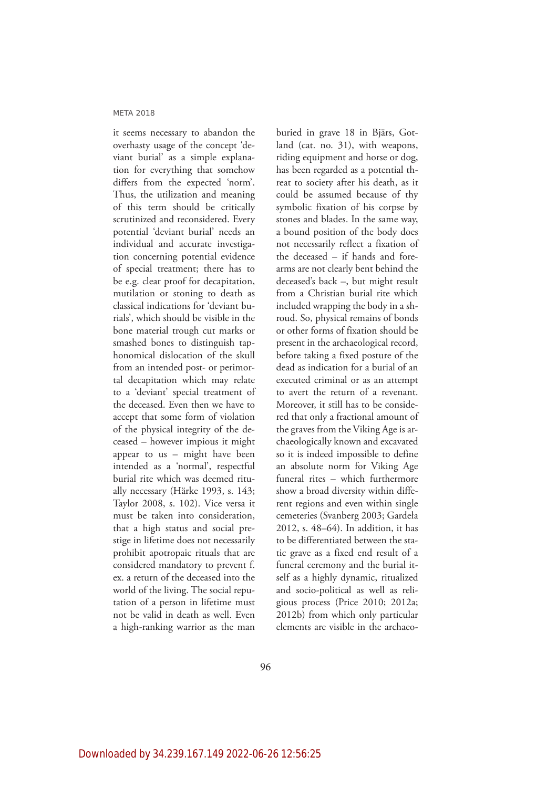it seems necessary to abandon the overhasty usage of the concept 'deviant burial' as a simple explanation for everything that somehow differs from the expected 'norm'. Thus, the utilization and meaning of this term should be critically scrutinized and reconsidered. Every potential 'deviant burial' needs an individual and accurate investigation concerning potential evidence of special treatment; there has to be e.g. clear proof for decapitation, mutilation or stoning to death as classical indications for 'deviant burials', which should be visible in the bone material trough cut marks or smashed bones to distinguish taphonomical dislocation of the skull from an intended post- or perimortal decapitation which may relate to a 'deviant' special treatment of the deceased. Even then we have to accept that some form of violation of the physical integrity of the deceased – however impious it might appear to us – might have been intended as a 'normal', respectful burial rite which was deemed ritually necessary (Härke 1993, s. 143; Taylor 2008, s. 102). Vice versa it must be taken into consideration, that a high status and social prestige in lifetime does not necessarily prohibit apotropaic rituals that are considered mandatory to prevent f. ex. a return of the deceased into the world of the living. The social reputation of a person in lifetime must not be valid in death as well. Even a high-ranking warrior as the man

buried in grave 18 in Bjärs, Gotland (cat. no. 31), with weapons, riding equipment and horse or dog, has been regarded as a potential threat to society after his death, as it could be assumed because of thy symbolic fixation of his corpse by stones and blades. In the same way, a bound position of the body does not necessarily reflect a fixation of the deceased – if hands and forearms are not clearly bent behind the deceased's back –, but might result from a Christian burial rite which included wrapping the body in a shroud. So, physical remains of bonds or other forms of fixation should be present in the archaeological record, before taking a fixed posture of the dead as indication for a burial of an executed criminal or as an attempt to avert the return of a revenant. Moreover, it still has to be considered that only a fractional amount of the graves from the Viking Age is archaeologically known and excavated so it is indeed impossible to define an absolute norm for Viking Age funeral rites – which furthermore show a broad diversity within different regions and even within single cemeteries (Svanberg 2003; Gardeła 2012, s. 48–64). In addition, it has to be differentiated between the static grave as a fixed end result of a funeral ceremony and the burial itself as a highly dynamic, ritualized and socio-political as well as religious process (Price 2010; 2012a; 2012b) from which only particular elements are visible in the archaeo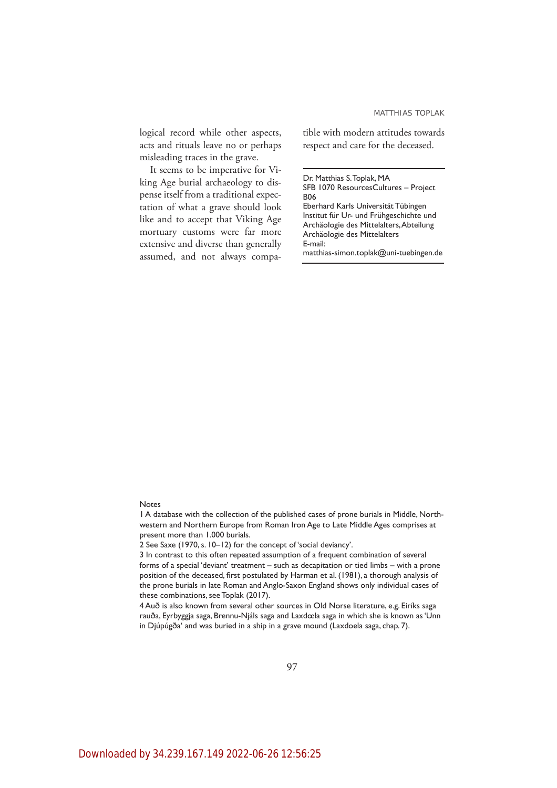logical record while other aspects, acts and rituals leave no or perhaps misleading traces in the grave.

It seems to be imperative for Viking Age burial archaeology to dispense itself from a traditional expectation of what a grave should look like and to accept that Viking Age mortuary customs were far more extensive and diverse than generally assumed, and not always compatible with modern attitudes towards respect and care for the deceased.

Dr. Matthias S. Toplak, MA SFB 1070 ResourcesCultures – Project B06 Eberhard Karls Universität Tübingen Institut für Ur- und Frühgeschichte und Archäologie des Mittelalters, Abteilung Archäologie des Mittelalters E-mail:

matthias-simon.toplak@uni-tuebingen.de

#### Notes

1 A database with the collection of the published cases of prone burials in Middle, Northwestern and Northern Europe from Roman Iron Age to Late Middle Ages comprises at present more than 1.000 burials.

2 See Saxe (1970, s. 10–12) for the concept of 'social deviancy'.

3 In contrast to this often repeated assumption of a frequent combination of several forms of a special 'deviant' treatment – such as decapitation or tied limbs – with a prone position of the deceased, first postulated by Harman et al. (1981), a thorough analysis of the prone burials in late Roman and Anglo-Saxon England shows only individual cases of these combinations, see Toplak (2017).

4 Auð is also known from several other sources in Old Norse literature, e.g. Eiríks saga rauða, Eyrbyggja saga, Brennu-Njáls saga and Laxdœla saga in which she is known as 'Unn in Djúpúgða' and was buried in a ship in a grave mound (Laxdoela saga, chap. 7).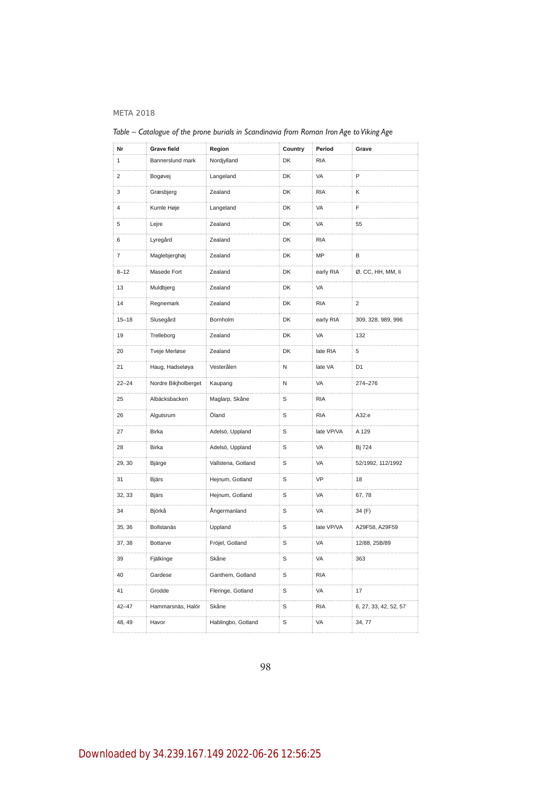| Nr           | <b>Grave field</b>   | Region                  | Country     | Period     | Grave                      |
|--------------|----------------------|-------------------------|-------------|------------|----------------------------|
| $\mathbf{1}$ | Bannerslund mark     | Nordjylland             | DK          | <b>RIA</b> |                            |
| 2            | Bogøvej<br>.         | Langeland               | DK          | VA         | P                          |
| 3            | Græsbjerg            | Zealand                 | DK          | <b>RIA</b> | Κ                          |
| 4            | Kumle Høje           | Langeland               | DK          | VA         | F                          |
| 5            | Lejre                | Zealand                 | DK          | VA         | 55                         |
| 6            | Lyregård             | Zealand                 | DK          | <b>RIA</b> |                            |
| 7            | Maglebjerghøj        | Zealand                 | DK          | MP         | B                          |
| $8 - 12$     | Masede Fort          | Zealand                 | DK          | early RIA  | Ø, CC, HH, MM, li          |
| 13           | Muldbjerg            | Zealand                 | DK          | VA         |                            |
| 14           | Regnemark            | Zealand                 | DK          | <b>RIA</b> | 2                          |
| $15 - 18$    | Slusegård            | Bornholm                | DK          | early RIA  | 309, 328, 989, 996         |
| 19           | Trelleborg           | Zealand                 | DK          | VA         | 132                        |
| 20           | Tveje Merløse        | Zealand                 | DK          | late RIA   | 5                          |
| 21           | Haug, Hadseløya      | Vesterålen              | N           | late VA    | D <sub>1</sub>             |
| $22 - 24$    | Nordre Bikjholberget | Kaupang                 | N           | VA         | 274-276                    |
| 25           | Albäcksbacken        | Maglarp, Skåne          | S           | <b>RIA</b> |                            |
| 26           | Algutsrum            | Öland                   | S           | <b>RIA</b> | A32:e                      |
| 27           | <b>Birka</b>         | Adelsö, Uppland         | S           | late VP/VA | A 129                      |
| 28           | <b>Birka</b>         | Adelsö, Uppland         | S           | VA         | Bj 724                     |
| 29, 30       | Bjärge               | Vallstena, Gotland<br>. | S           | VA         | 52/1992, 112/1992          |
| 31           | <b>Bjärs</b>         | Hejnum, Gotland         | S           | VP         | 18                         |
| 32, 33       | <b>Bjärs</b>         | Hejnum, Gotland<br>.    | S           | VA         | 67,78                      |
| 34           | Björkå               | Ångermanland            | S           | VA         | 34 (F)                     |
| 35, 36       | Bollstanäs           | Uppland                 | S           | late VP/VA | A29F58, A29F59             |
| 37, 38       | Bottarve             | Fröjel, Gotland         | S           | VA         | 12/88, 25B/89              |
| 39           | Fjälkinge            | Skåne                   | $\mathbb S$ | VA         | 363                        |
| 40           | Gardese              | Ganthem, Gotland        | S           | <b>RIA</b> |                            |
| 41           | Grodde               | Fleringe, Gotland       | S           | VA         | 17                         |
| $42 - 47$    | Hammarsnäs, Halör    | Skåne                   | S           | <b>RIA</b> | 6, 27, 33, 42, 52, 57<br>. |
| 48, 49       | Havor                | Hablingbo, Gotland      | S           | VA         | 34, 77                     |

*Table – Catalogue of the prone burials in Scandinavia from Roman Iron Age to Viking Age*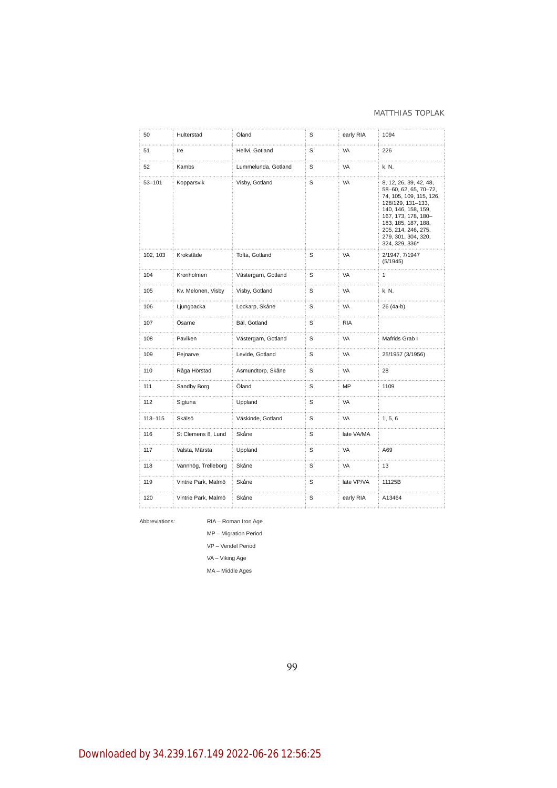#### MATTHIAS TOPLAK

| 50                    | Hulterstad          | Öland                    | S | early RIA  | 1094                                                                                                                                                                                                                                 |
|-----------------------|---------------------|--------------------------|---|------------|--------------------------------------------------------------------------------------------------------------------------------------------------------------------------------------------------------------------------------------|
| 51                    | Ire                 | Hellvi, Gotland          | S | VA         | 226                                                                                                                                                                                                                                  |
| 52                    | Kambs               | .<br>Lummelunda, Gotland | S | VA         | k. N.                                                                                                                                                                                                                                |
| $53 - 101$            | Kopparsvik          | Visby, Gotland           | S | VA         | 8, 12, 26, 39, 42, 48,<br>58-60, 62, 65, 70-72,<br>74, 105, 109, 115, 126,<br>128/129, 131-133,<br>140, 146, 158, 159,<br>167, 173, 178, 180-<br>183, 185, 187, 188,<br>205, 214, 246, 275,<br>279, 301, 304, 320,<br>324, 329, 336* |
| 102, 103              | Krokstäde           | Tofta, Gotland           | S | VA         | 2/1947, 7/1947<br>(5/1945)                                                                                                                                                                                                           |
| 104<br>$\sim 10^{-1}$ | Kronholmen          | Västergarn, Gotland      | S | VA         | 1                                                                                                                                                                                                                                    |
| 105                   | Kv. Melonen, Visby  | Visby, Gotland           | S | VA         | k. N.                                                                                                                                                                                                                                |
| 106                   | Ljungbacka          | Lockarp, Skåne           | S | VA         | 26 (4a-b)                                                                                                                                                                                                                            |
| 107                   | Ösarne              | Bäl, Gotland             | S | <b>RIA</b> |                                                                                                                                                                                                                                      |
| 108                   | Paviken             | Västergarn, Gotland      | S | VA         | Mafrids Grab I                                                                                                                                                                                                                       |
| 109                   | Pejnarve            | Levide, Gotland          | S | VA         | 25/1957 (3/1956)                                                                                                                                                                                                                     |
| 110                   | Råga Hörstad        | Asmundtorp, Skåne        | S | VA         | 28                                                                                                                                                                                                                                   |
| .<br>111              | Sandby Borg         | Öland                    | S | MP         | 1109                                                                                                                                                                                                                                 |
| 112                   | Sigtuna             | Uppland                  | S | <b>VA</b>  |                                                                                                                                                                                                                                      |
| 113-115               | Skälsö              | Väskinde, Gotland        | S | <b>VA</b>  | 1, 5, 6                                                                                                                                                                                                                              |
| 116                   | St Clemens 8, Lund  | Skåne                    | S | late VA/MA |                                                                                                                                                                                                                                      |
| 117<br>and a series   | Valsta, Märsta      | Uppland                  | S | VA         | A69                                                                                                                                                                                                                                  |
| 118                   | Vannhög, Trelleborg | Skåne                    | S | VA         | 13                                                                                                                                                                                                                                   |
| 119                   | Vintrie Park, Malmö | Skåne                    | S | late VP/VA | 11125B                                                                                                                                                                                                                               |
| 120                   | Vintrie Park, Malmö | Skåne                    | S | early RIA  | A13464                                                                                                                                                                                                                               |
|                       |                     |                          |   |            |                                                                                                                                                                                                                                      |

Abbreviations: RIA – Roman Iron Age

MP – Migration Period

VP – Vendel Period

VA – Viking Age

MA – Middle Ages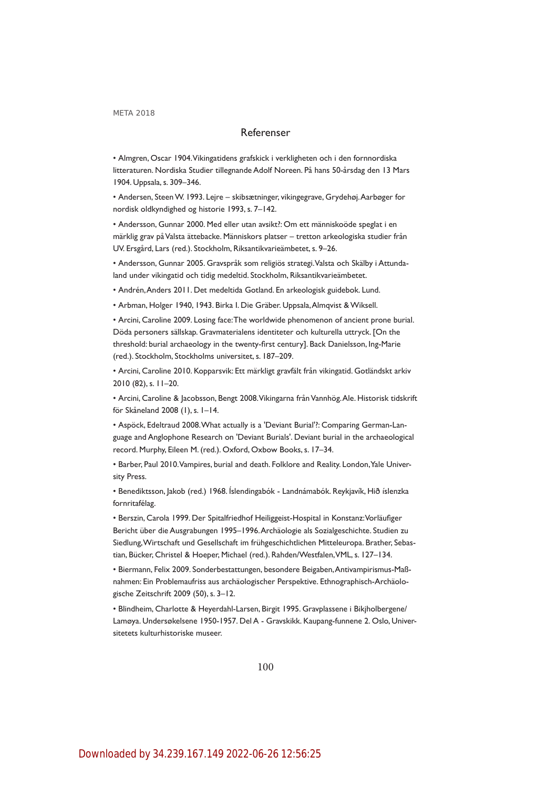## Referenser

• Almgren, Oscar 1904. Vikingatidens grafskick i verkligheten och i den fornnordiska litteraturen. Nordiska Studier tillegnande Adolf Noreen. På hans 50-årsdag den 13 Mars 1904. Uppsala, s. 309–346.

• Andersen, Steen W. 1993. Lejre – skibsætninger, vikingegrave, Grydehøj. Aarbøger for nordisk oldkyndighed og historie 1993, s. 7–142.

• Andersson, Gunnar 2000. Med eller utan avsikt?: Om ett människoöde speglat i en märklig grav på Valsta ättebacke. Människors platser – tretton arkeologiska studier från UV. Ersgård, Lars (red.). Stockholm, Riksantikvarieämbetet, s. 9–26.

• Andersson, Gunnar 2005. Gravspråk som religiös strategi. Valsta och Skälby i Attundaland under vikingatid och tidig medeltid. Stockholm, Riksantikvarieämbetet.

• Andrén, Anders 2011. Det medeltida Gotland. En arkeologisk guidebok. Lund.

• Arbman, Holger 1940, 1943. Birka I. Die Gräber. Uppsala, Almqvist & Wiksell.

• Arcini, Caroline 2009. Losing face: The worldwide phenomenon of ancient prone burial. Döda personers sällskap. Gravmaterialens identiteter och kulturella uttryck. [On the threshold: burial archaeology in the twenty-first century]. Back Danielsson, Ing-Marie (red.). Stockholm, Stockholms universitet, s. 187–209.

• Arcini, Caroline 2010. Kopparsvik: Ett märkligt gravfält från vikingatid. Gotländskt arkiv 2010 (82), s. 11–20.

• Arcini, Caroline & Jacobsson, Bengt 2008. Vikingarna från Vannhög. Ale. Historisk tidskrift för Skåneland 2008 (1), s. 1–14.

• Aspöck, Edeltraud 2008. What actually is a 'Deviant Burial'?: Comparing German-Language and Anglophone Research on 'Deviant Burials'. Deviant burial in the archaeological record. Murphy, Eileen M. (red.). Oxford, Oxbow Books, s. 17–34.

• Barber, Paul 2010. Vampires, burial and death. Folklore and Reality. London, Yale University Press.

• Benediktsson, Jakob (red.) 1968. Íslendingabók - Landnámabók. Reykjavík, Hið íslenzka fornritafélag.

• Berszin, Carola 1999. Der Spitalfriedhof Heiliggeist-Hospital in Konstanz: Vorläufiger Bericht über die Ausgrabungen 1995–1996. Archäologie als Sozialgeschichte. Studien zu Siedlung, Wirtschaft und Gesellschaft im frühgeschichtlichen Mitteleuropa. Brather, Sebastian, Bücker, Christel & Hoeper, Michael (red.). Rahden/Westfalen, VML, s. 127–134.

• Biermann, Felix 2009. Sonderbestattungen, besondere Beigaben, Antivampirismus-Maßnahmen: Ein Problemaufriss aus archäologischer Perspektive. Ethnographisch-Archäologische Zeitschrift 2009 (50), s. 3–12.

• Blindheim, Charlotte & Heyerdahl-Larsen, Birgit 1995. Gravplassene i Bikjholbergene/ Lamøya. Undersøkelsene 1950-1957. Del A - Gravskikk. Kaupang-funnene 2. Oslo, Universitetets kulturhistoriske museer.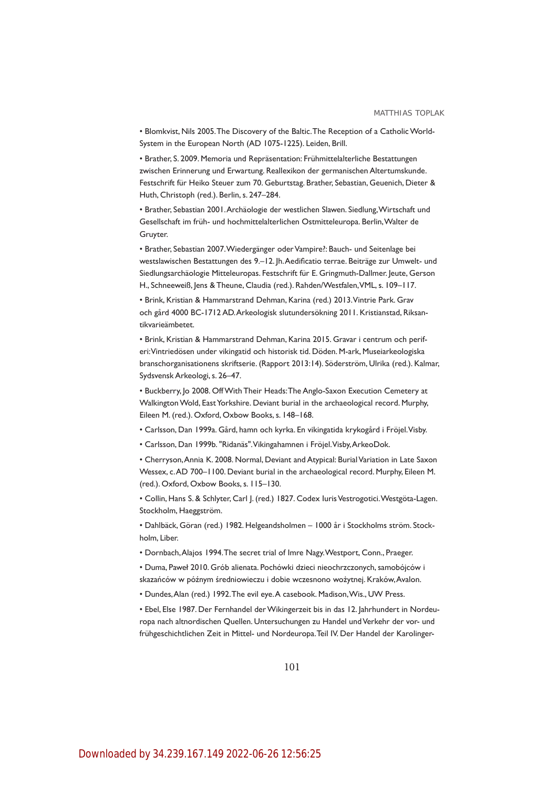• Blomkvist, Nils 2005. The Discovery of the Baltic. The Reception of a Catholic World-System in the European North (AD 1075-1225). Leiden, Brill.

• Brather, S. 2009. Memoria und Repräsentation: Frühmittelalterliche Bestattungen zwischen Erinnerung und Erwartung. Reallexikon der germanischen Altertumskunde. Festschrift für Heiko Steuer zum 70. Geburtstag. Brather, Sebastian, Geuenich, Dieter & Huth, Christoph (red.). Berlin, s. 247–284.

• Brather, Sebastian 2001. Archäologie der westlichen Slawen. Siedlung, Wirtschaft und Gesellschaft im früh- und hochmittelalterlichen Ostmitteleuropa. Berlin, Walter de Gruyter.

• Brather, Sebastian 2007. Wiedergänger oder Vampire?: Bauch- und Seitenlage bei westslawischen Bestattungen des 9.–12. Jh. Aedificatio terrae. Beiträge zur Umwelt- und Siedlungsarchäologie Mitteleuropas. Festschrift für E. Gringmuth-Dallmer. Jeute, Gerson H., Schneeweiß, Jens & Theune, Claudia (red.). Rahden/Westfalen, VML, s. 109–117.

• Brink, Kristian & Hammarstrand Dehman, Karina (red.) 2013. Vintrie Park. Grav och gård 4000 BC-1712 AD. Arkeologisk slutundersökning 2011. Kristianstad, Riksantikvarieämbetet.

• Brink, Kristian & Hammarstrand Dehman, Karina 2015. Gravar i centrum och periferi: Vintriedösen under vikingatid och historisk tid. Döden. M-ark, Museiarkeologiska branschorganisationens skriftserie. (Rapport 2013:14). Söderström, Ulrika (red.). Kalmar, Sydsvensk Arkeologi, s. 26–47.

• Buckberry, Jo 2008. Off With Their Heads: The Anglo-Saxon Execution Cemetery at Walkington Wold, East Yorkshire. Deviant burial in the archaeological record. Murphy, Eileen M. (red.). Oxford, Oxbow Books, s. 148–168.

- Carlsson, Dan 1999a. Gård, hamn och kyrka. En vikingatida krykogård i Fröjel. Visby.
- Carlsson, Dan 1999b. "Ridanäs". Vikingahamnen i Fröjel. Visby, ArkeoDok.

• Cherryson, Annia K. 2008. Normal, Deviant and Atypical: Burial Variation in Late Saxon Wessex, c. AD 700–1100. Deviant burial in the archaeological record. Murphy, Eileen M. (red.). Oxford, Oxbow Books, s. 115–130.

• Collin, Hans S. & Schlyter, Carl J. (red.) 1827. Codex Iuris Vestrogotici. Westgöta-Lagen. Stockholm, Haeggström.

• Dahlbäck, Göran (red.) 1982. Helgeandsholmen – 1000 år i Stockholms ström. Stockholm, Liber.

• Dornbach, Alajos 1994. The secret trial of Imre Nagy. Westport, Conn., Praeger.

• Duma, Paweł 2010. Grób alienata. Pochówki dzieci nieochrzczonych, samobójców i skazańców w późnym średniowieczu i dobie wczesnono wożytnej. Kraków, Avalon.

• Dundes, Alan (red.) 1992. The evil eye. A casebook. Madison, Wis., UW Press.

• Ebel, Else 1987. Der Fernhandel der Wikingerzeit bis in das 12. Jahrhundert in Nordeuropa nach altnordischen Quellen. Untersuchungen zu Handel und Verkehr der vor- und frühgeschichtlichen Zeit in Mittel- und Nordeuropa. Teil IV. Der Handel der Karolinger-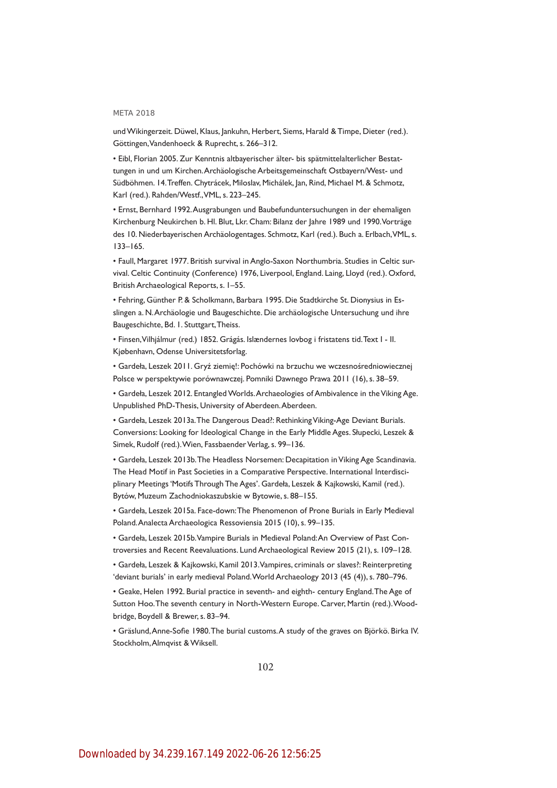#### **MFTA 2018**

und Wikingerzeit. Düwel, Klaus, Jankuhn, Herbert, Siems, Harald & Timpe, Dieter (red.). Göttingen, Vandenhoeck & Ruprecht, s. 266–312.

• Eibl, Florian 2005. Zur Kenntnis altbayerischer älter- bis spätmittelalterlicher Bestattungen in und um Kirchen. Archäologische Arbeitsgemeinschaft Ostbayern/West- und Südböhmen. 14. Treffen. Chytrácek, Miloslav, Michálek, Jan, Rind, Michael M. & Schmotz, Karl (red.). Rahden/Westf., VML, s. 223–245.

• Ernst, Bernhard 1992. Ausgrabungen und Baubefunduntersuchungen in der ehemaligen Kirchenburg Neukirchen b. Hl. Blut, Lkr. Cham: Bilanz der Jahre 1989 und 1990. Vorträge des 10. Niederbayerischen Archäologentages. Schmotz, Karl (red.). Buch a. Erlbach, VML, s. 133–165.

• Faull, Margaret 1977. British survival in Anglo-Saxon Northumbria. Studies in Celtic survival. Celtic Continuity (Conference) 1976, Liverpool, England. Laing, Lloyd (red.). Oxford, British Archaeological Reports, s. 1–55.

• Fehring, Günther P. & Scholkmann, Barbara 1995. Die Stadtkirche St. Dionysius in Esslingen a. N. Archäologie und Baugeschichte. Die archäologische Untersuchung und ihre Baugeschichte, Bd. 1. Stuttgart, Theiss.

• Finsen, Vilhjálmur (red.) 1852. Grágás. Islændernes lovbog i fristatens tid. Text I - II. Kjøbenhavn, Odense Universitetsforlag.

• Gardeła, Leszek 2011. Gryź ziemię!: Pochówki na brzuchu we wczesnośredniowiecznej Polsce w perspektywie porównawczej. Pomniki Dawnego Prawa 2011 (16), s. 38–59.

• Gardeła, Leszek 2012. Entangled Worlds. Archaeologies of Ambivalence in the Viking Age. Unpublished PhD-Thesis, University of Aberdeen. Aberdeen.

• Gardeła, Leszek 2013a. The Dangerous Dead?: Rethinking Viking-Age Deviant Burials. Conversions: Looking for Ideological Change in the Early Middle Ages. Słupecki, Leszek & Simek, Rudolf (red.). Wien, Fassbaender Verlag, s. 99–136.

• Gardeła, Leszek 2013b. The Headless Norsemen: Decapitation in Viking Age Scandinavia. The Head Motif in Past Societies in a Comparative Perspective. International Interdisciplinary Meetings 'Motifs Through The Ages'. Gardeła, Leszek & Kajkowski, Kamil (red.). Bytów, Muzeum Zachodniokaszubskie w Bytowie, s. 88–155.

• Gardeła, Leszek 2015a. Face-down: The Phenomenon of Prone Burials in Early Medieval Poland. Analecta Archaeologica Ressoviensia 2015 (10), s. 99–135.

• Gardeła, Leszek 2015b. Vampire Burials in Medieval Poland: An Overview of Past Controversies and Recent Reevaluations. Lund Archaeological Review 2015 (21), s. 109–128.

• Gardeła, Leszek & Kajkowski, Kamil 2013. Vampires, criminals or slaves?: Reinterpreting 'deviant burials' in early medieval Poland. World Archaeology 2013 (45 (4)), s. 780–796.

• Geake, Helen 1992. Burial practice in seventh- and eighth- century England. The Age of Sutton Hoo. The seventh century in North-Western Europe. Carver, Martin (red.). Woodbridge, Boydell & Brewer, s. 83–94.

• Gräslund, Anne-Sofie 1980. The burial customs. A study of the graves on Björkö. Birka IV. Stockholm, Almqvist & Wiksell.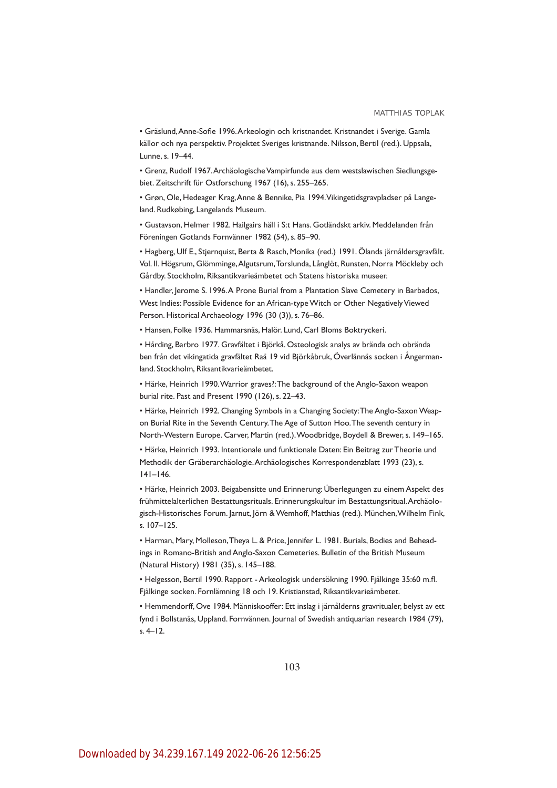• Gräslund, Anne-Sofie 1996. Arkeologin och kristnandet. Kristnandet i Sverige. Gamla källor och nya perspektiv. Projektet Sveriges kristnande. Nilsson, Bertil (red.). Uppsala, Lunne, s. 19–44.

• Grenz, Rudolf 1967. Archäologische Vampirfunde aus dem westslawischen Siedlungsgebiet. Zeitschrift für Ostforschung 1967 (16), s. 255–265.

• Grøn, Ole, Hedeager Krag, Anne & Bennike, Pia 1994. Vikingetidsgravpladser på Langeland. Rudkøbing, Langelands Museum.

• Gustavson, Helmer 1982. Hailgairs häll i S:t Hans. Gotländskt arkiv. Meddelanden från Föreningen Gotlands Fornvänner 1982 (54), s. 85–90.

• Hagberg, Ulf E., Stjernquist, Berta & Rasch, Monika (red.) 1991. Ölands järnåldersgravfält. Vol. II. Högsrum, Glömminge, Algutsrum, Torslunda, Långlöt, Runsten, Norra Möckleby och Gårdby. Stockholm, Riksantikvarieämbetet och Statens historiska museer.

• Handler, Jerome S. 1996. A Prone Burial from a Plantation Slave Cemetery in Barbados, West Indies: Possible Evidence for an African-type Witch or Other Negatively Viewed Person. Historical Archaeology 1996 (30 (3)), s. 76–86.

• Hansen, Folke 1936. Hammarsnäs, Halör. Lund, Carl Bloms Boktryckeri.

• Hårding, Barbro 1977. Gravfältet i Björkå. Osteologisk analys av brända och obrända ben från det vikingatida gravfältet Raä 19 vid Björkåbruk, Överlännäs socken i Ångermanland. Stockholm, Riksantikvarieämbetet.

• Härke, Heinrich 1990. Warrior graves?: The background of the Anglo-Saxon weapon burial rite. Past and Present 1990 (126), s. 22–43.

• Härke, Heinrich 1992. Changing Symbols in a Changing Society: The Anglo-Saxon Weapon Burial Rite in the Seventh Century. The Age of Sutton Hoo. The seventh century in North-Western Europe. Carver, Martin (red.). Woodbridge, Boydell & Brewer, s. 149–165.

• Härke, Heinrich 1993. Intentionale und funktionale Daten: Ein Beitrag zur Theorie und Methodik der Gräberarchäologie. Archäologisches Korrespondenzblatt 1993 (23), s. 141–146.

• Härke, Heinrich 2003. Beigabensitte und Erinnerung: Überlegungen zu einem Aspekt des frühmittelalterlichen Bestattungsrituals. Erinnerungskultur im Bestattungsritual. Archäologisch-Historisches Forum. Jarnut, Jörn & Wemhoff, Matthias (red.). München, Wilhelm Fink, s. 107–125.

• Harman, Mary, Molleson, Theya L. & Price, Jennifer L. 1981. Burials, Bodies and Beheadings in Romano-British and Anglo-Saxon Cemeteries. Bulletin of the British Museum (Natural History) 1981 (35), s. 145–188.

• Helgesson, Bertil 1990. Rapport - Arkeologisk undersökning 1990. Fjälkinge 35:60 m.fl. Fjälkinge socken. Fornlämning 18 och 19. Kristianstad, Riksantikvarieämbetet.

• Hemmendorff, Ove 1984. Människooffer: Ett inslag i järnålderns gravritualer, belyst av ett fynd i Bollstanäs, Uppland. Fornvännen. Journal of Swedish antiquarian research 1984 (79), s. 4–12.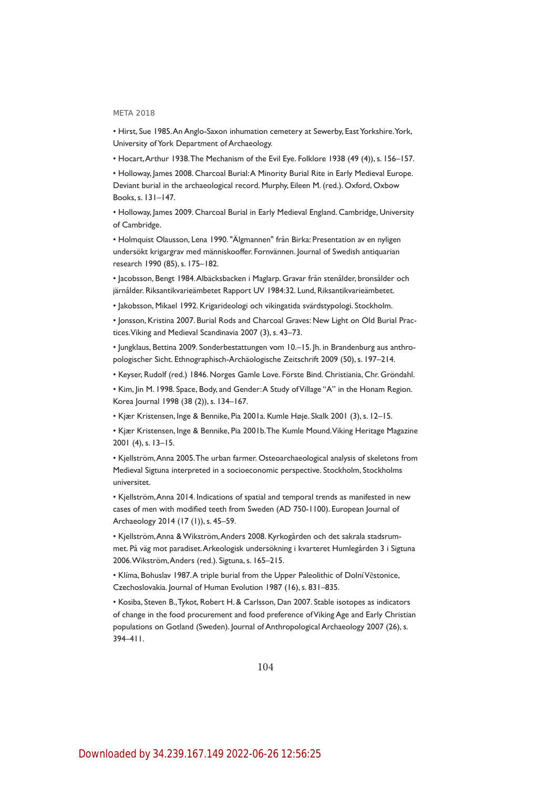• Hirst, Sue 1985. An Anglo-Saxon inhumation cemetery at Sewerby, East Yorkshire. York, University of York Department of Archaeology.

• Hocart, Arthur 1938. The Mechanism of the Evil Eye. Folklore 1938 (49 (4)), s. 156–157.

• Holloway, James 2008. Charcoal Burial: A Minority Burial Rite in Early Medieval Europe. Deviant burial in the archaeological record. Murphy, Eileen M. (red.). Oxford, Oxbow Books, s. 131–147.

• Holloway, James 2009. Charcoal Burial in Early Medieval England. Cambridge, University of Cambridge.

• Holmquist Olausson, Lena 1990. "Älgmannen" från Birka: Presentation av en nyligen undersökt krigargrav med människooffer. Fornvännen. Journal of Swedish antiquarian research 1990 (85), s. 175–182.

• Jacobsson, Bengt 1984. Albäcksbacken i Maglarp. Gravar från stenålder, bronsålder och järnålder. Riksantikvarieämbetet Rapport UV 1984:32. Lund, Riksantikvarieämbetet.

• Jakobsson, Mikael 1992. Krigarideologi och vikingatida svärdstypologi. Stockholm.

• Jonsson, Kristina 2007. Burial Rods and Charcoal Graves: New Light on Old Burial Practices. Viking and Medieval Scandinavia 2007 (3), s. 43–73.

• Jungklaus, Bettina 2009. Sonderbestattungen vom 10.–15. Jh. in Brandenburg aus anthropologischer Sicht. Ethnographisch-Archäologische Zeitschrift 2009 (50), s. 197–214.

• Keyser, Rudolf (red.) 1846. Norges Gamle Love. Förste Bind. Christiania, Chr. Gröndahl.

• Kim, Jin M. 1998. Space, Body, and Gender: A Study of Village "A" in the Honam Region. Korea Journal 1998 (38 (2)), s. 134–167.

• Kjær Kristensen, Inge & Bennike, Pia 2001a. Kumle Høje. Skalk 2001 (3), s. 12–15.

• Kjær Kristensen, Inge & Bennike, Pia 2001b. The Kumle Mound. Viking Heritage Magazine 2001 (4), s. 13–15.

• Kjellström, Anna 2005. The urban farmer. Osteoarchaeological analysis of skeletons from Medieval Sigtuna interpreted in a socioeconomic perspective. Stockholm, Stockholms universitet.

• Kjellström, Anna 2014. Indications of spatial and temporal trends as manifested in new cases of men with modified teeth from Sweden (AD 750-1100). European Journal of Archaeology 2014 (17 (1)), s. 45–59.

• Kjellström, Anna & Wikström, Anders 2008. Kyrkogården och det sakrala stadsrummet. På väg mot paradiset. Arkeologisk undersökning i kvarteret Humlegården 3 i Sigtuna 2006. Wikström, Anders (red.). Sigtuna, s. 165–215.

• Klíma, Bohuslav 1987. A triple burial from the Upper Paleolithic of Dolní Vĕstonice, Czechoslovakia. Journal of Human Evolution 1987 (16), s. 831–835.

• Kosiba, Steven B., Tykot, Robert H. & Carlsson, Dan 2007. Stable isotopes as indicators of change in the food procurement and food preference of Viking Age and Early Christian populations on Gotland (Sweden). Journal of Anthropological Archaeology 2007 (26), s. 394–411.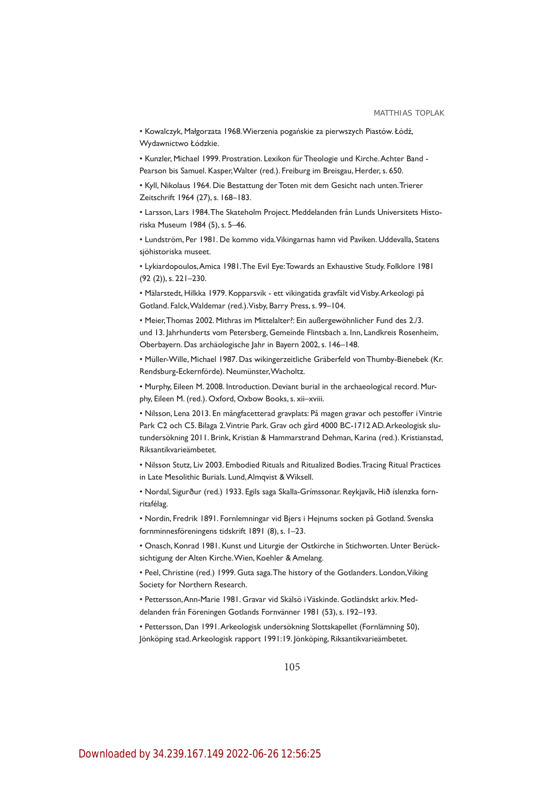• Kowalczyk, Małgorzata 1968. Wierzenia pogańskie za pierwszych Piastów. Łódź, Wydawnictwo Łódzkie.

• Kunzler, Michael 1999. Prostration. Lexikon für Theologie und Kirche. Achter Band - Pearson bis Samuel. Kasper, Walter (red.). Freiburg im Breisgau, Herder, s. 650.

• Kyll, Nikolaus 1964. Die Bestattung der Toten mit dem Gesicht nach unten. Trierer Zeitschrift 1964 (27), s. 168–183.

• Larsson, Lars 1984. The Skateholm Project. Meddelanden från Lunds Universitets Historiska Museum 1984 (5), s. 5–46.

• Lundström, Per 1981. De kommo vida. Vikingarnas hamn vid Paviken. Uddevalla, Statens sjöhistoriska museet.

• Lykiardopoulos, Amica 1981. The Evil Eye: Towards an Exhaustive Study. Folklore 1981 (92 (2)), s. 221–230.

• Mälarstedt, Hilkka 1979. Kopparsvik - ett vikingatida gravfält vid Visby. Arkeologi på Gotland. Falck, Waldemar (red.). Visby, Barry Press, s. 99–104.

• Meier, Thomas 2002. Mithras im Mittelalter?: Ein außergewöhnlicher Fund des 2./3. und 13. Jahrhunderts vom Petersberg, Gemeinde Flintsbach a. Inn, Landkreis Rosenheim, Oberbayern. Das archäologische Jahr in Bayern 2002, s. 146–148.

• Müller-Wille, Michael 1987. Das wikingerzeitliche Gräberfeld von Thumby-Bienebek (Kr. Rendsburg-Eckernförde). Neumünster, Wacholtz.

• Murphy, Eileen M. 2008. Introduction. Deviant burial in the archaeological record. Murphy, Eileen M. (red.). Oxford, Oxbow Books, s. xii–xviii.

• Nilsson, Lena 2013. En mångfacetterad gravplats: På magen gravar och pestoffer i Vintrie Park C2 och C5. Bilaga 2. Vintrie Park. Grav och gård 4000 BC-1712 AD. Arkeologisk slutundersökning 2011. Brink, Kristian & Hammarstrand Dehman, Karina (red.). Kristianstad, Riksantikvarieämbetet.

• Nilsson Stutz, Liv 2003. Embodied Rituals and Ritualized Bodies. Tracing Ritual Practices in Late Mesolithic Burials. Lund, Almqvist & Wiksell.

• Nordal, Sigurður (red.) 1933. Egils saga Skalla-Grímssonar. Reykjavík, Hið íslenzka fornritafélag.

• Nordin, Fredrik 1891. Fornlemningar vid Bjers i Hejnums socken på Gotland. Svenska fornminnesföreningens tidskrift 1891 (8), s. 1–23.

• Onasch, Konrad 1981. Kunst und Liturgie der Ostkirche in Stichworten. Unter Berücksichtigung der Alten Kirche. Wien, Koehler & Amelang.

• Peel, Christine (red.) 1999. Guta saga. The history of the Gotlanders. London, Viking Society for Northern Research.

• Pettersson, Ann-Marie 1981. Gravar vid Skälsö i Väskinde. Gotländskt arkiv. Meddelanden från Föreningen Gotlands Fornvänner 1981 (53), s. 192–193.

• Pettersson, Dan 1991. Arkeologisk undersökning Slottskapellet (Fornlämning 50), Jönköping stad. Arkeologisk rapport 1991:19. Jönköping, Riksantikvarieämbetet.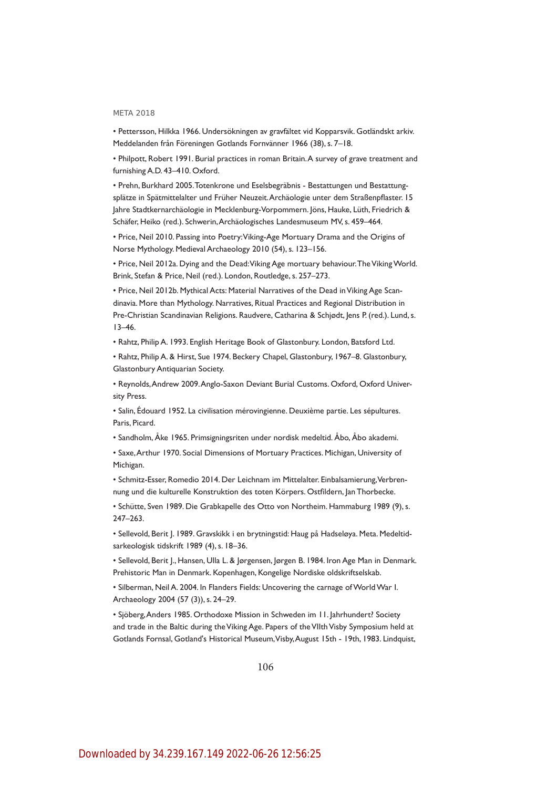• Pettersson, Hilkka 1966. Undersökningen av gravfältet vid Kopparsvik. Gotländskt arkiv. Meddelanden från Föreningen Gotlands Fornvänner 1966 (38), s. 7–18.

• Philpott, Robert 1991. Burial practices in roman Britain. A survey of grave treatment and furnishing A.D. 43–410. Oxford.

• Prehn, Burkhard 2005. Totenkrone und Eselsbegräbnis - Bestattungen und Bestattungsplätze in Spätmittelalter und Früher Neuzeit. Archäologie unter dem Straßenpflaster. 15 Jahre Stadtkernarchäologie in Mecklenburg-Vorpommern. Jöns, Hauke, Lüth, Friedrich & Schäfer, Heiko (red.). Schwerin, Archäologisches Landesmuseum MV, s. 459–464.

• Price, Neil 2010. Passing into Poetry: Viking-Age Mortuary Drama and the Origins of Norse Mythology. Medieval Archaeology 2010 (54), s. 123–156.

• Price, Neil 2012a. Dying and the Dead: Viking Age mortuary behaviour. The Viking World. Brink, Stefan & Price, Neil (red.). London, Routledge, s. 257–273.

• Price, Neil 2012b. Mythical Acts: Material Narratives of the Dead in Viking Age Scandinavia. More than Mythology. Narratives, Ritual Practices and Regional Distribution in Pre-Christian Scandinavian Religions. Raudvere, Catharina & Schiødt, Jens P. (red.). Lund, s. 13–46.

• Rahtz, Philip A. 1993. English Heritage Book of Glastonbury. London, Batsford Ltd.

• Rahtz, Philip A. & Hirst, Sue 1974. Beckery Chapel, Glastonbury, 1967–8. Glastonbury, Glastonbury Antiquarian Society.

• Reynolds, Andrew 2009. Anglo-Saxon Deviant Burial Customs. Oxford, Oxford University Press.

• Salin, Édouard 1952. La civilisation mérovingienne. Deuxième partie. Les sépultures. Paris, Picard.

• Sandholm, Åke 1965. Primsigningsriten under nordisk medeltid. Åbo, Åbo akademi.

• Saxe, Arthur 1970. Social Dimensions of Mortuary Practices. Michigan, University of Michigan.

• Schmitz-Esser, Romedio 2014. Der Leichnam im Mittelalter. Einbalsamierung, Verbrennung und die kulturelle Konstruktion des toten Körpers. Ostfildern, Jan Thorbecke.

• Schütte, Sven 1989. Die Grabkapelle des Otto von Northeim. Hammaburg 1989 (9), s. 247–263.

• Sellevold, Berit J. 1989. Gravskikk i en brytningstid: Haug på Hadseløya. Meta. Medeltidsarkeologisk tidskrift 1989 (4), s. 18–36.

• Sellevold, Berit J., Hansen, Ulla L. & Jørgensen, Jørgen B. 1984. Iron Age Man in Denmark. Prehistoric Man in Denmark. Kopenhagen, Kongelige Nordiske oldskriftselskab.

• Silberman, Neil A. 2004. In Flanders Fields: Uncovering the carnage of World War I. Archaeology 2004 (57 (3)), s. 24–29.

• Sjöberg, Anders 1985. Orthodoxe Mission in Schweden im 11. Jahrhundert? Society and trade in the Baltic during the Viking Age. Papers of the VIIth Visby Symposium held at Gotlands Fornsal, Gotland's Historical Museum, Visby, August 15th - 19th, 1983. Lindquist,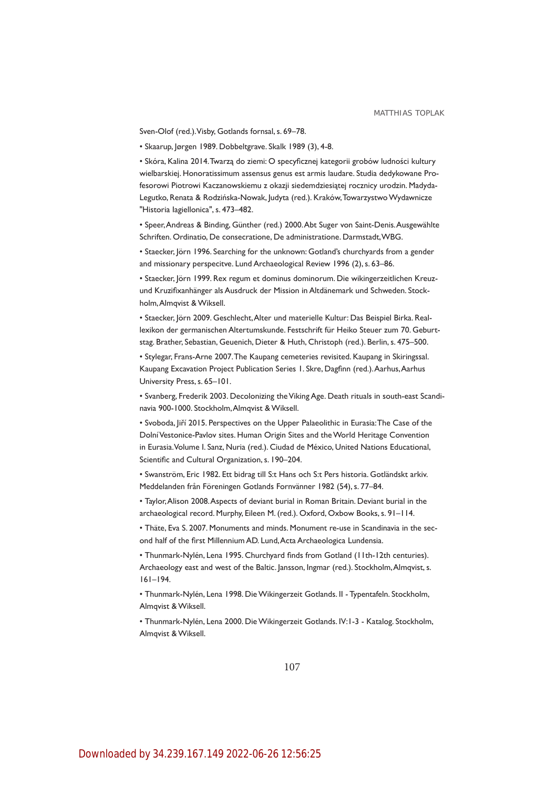Sven-Olof (red.). Visby, Gotlands fornsal, s. 69–78.

• Skaarup, Jørgen 1989. Dobbeltgrave. Skalk 1989 (3), 4-8.

• Skóra, Kalina 2014. Twarzą do ziemi: O specyficznej kategorii grobów ludności kultury wielbarskiej. Honoratissimum assensus genus est armis laudare. Studia dedykowane Profesorowi Piotrowi Kaczanowskiemu z okazji siedemdziesiątej rocznicy urodzin. Madyda-Legutko, Renata & Rodzińska-Nowak, Judyta (red.). Kraków, Towarzystwo Wydawnicze "Historia Iagiellonica", s. 473–482.

• Speer, Andreas & Binding, Günther (red.) 2000. Abt Suger von Saint-Denis. Ausgewählte Schriften. Ordinatio, De consecratione, De administratione. Darmstadt, WBG.

• Staecker, Jörn 1996. Searching for the unknown: Gotland's churchyards from a gender and missionary perspecitve. Lund Archaeological Review 1996 (2), s. 63–86.

• Staecker, Jörn 1999. Rex regum et dominus dominorum. Die wikingerzeitlichen Kreuzund Kruzifixanhänger als Ausdruck der Mission in Altdänemark und Schweden. Stockholm, Almqvist & Wiksell.

• Staecker, Jörn 2009. Geschlecht, Alter und materielle Kultur: Das Beispiel Birka. Reallexikon der germanischen Altertumskunde. Festschrift für Heiko Steuer zum 70. Geburtstag. Brather, Sebastian, Geuenich, Dieter & Huth, Christoph (red.). Berlin, s. 475–500.

• Stylegar, Frans-Arne 2007. The Kaupang cemeteries revisited. Kaupang in Skiringssal. Kaupang Excavation Project Publication Series 1. Skre, Dagfinn (red.). Aarhus, Aarhus University Press, s. 65–101.

• Svanberg, Frederik 2003. Decolonizing the Viking Age. Death rituals in south-east Scandinavia 900-1000. Stockholm, Almqvist & Wiksell.

• Svoboda, Jiří 2015. Perspectives on the Upper Palaeolithic in Eurasia: The Case of the Dolní Vestonice-Pavlov sites. Human Origin Sites and the World Heritage Convention in Eurasia. Volume I. Sanz, Nuria (red.). Ciudad de México, United Nations Educational, Scientific and Cultural Organization, s. 190–204.

• Swanström, Eric 1982. Ett bidrag till S:t Hans och S:t Pers historia. Gotländskt arkiv. Meddelanden från Föreningen Gotlands Fornvänner 1982 (54), s. 77–84.

• Taylor, Alison 2008. Aspects of deviant burial in Roman Britain. Deviant burial in the archaeological record. Murphy, Eileen M. (red.). Oxford, Oxbow Books, s. 91–114.

• Thäte, Eva S. 2007. Monuments and minds. Monument re-use in Scandinavia in the second half of the first Millennium AD. Lund, Acta Archaeologica Lundensia.

• Thunmark-Nylén, Lena 1995. Churchyard finds from Gotland (11th-12th centuries). Archaeology east and west of the Baltic. Jansson, Ingmar (red.). Stockholm, Almqvist, s. 161–194.

• Thunmark-Nylén, Lena 1998. Die Wikingerzeit Gotlands. II - Typentafeln. Stockholm, Almqvist & Wiksell.

• Thunmark-Nylén, Lena 2000. Die Wikingerzeit Gotlands. IV:1-3 - Katalog. Stockholm, Almqvist & Wiksell.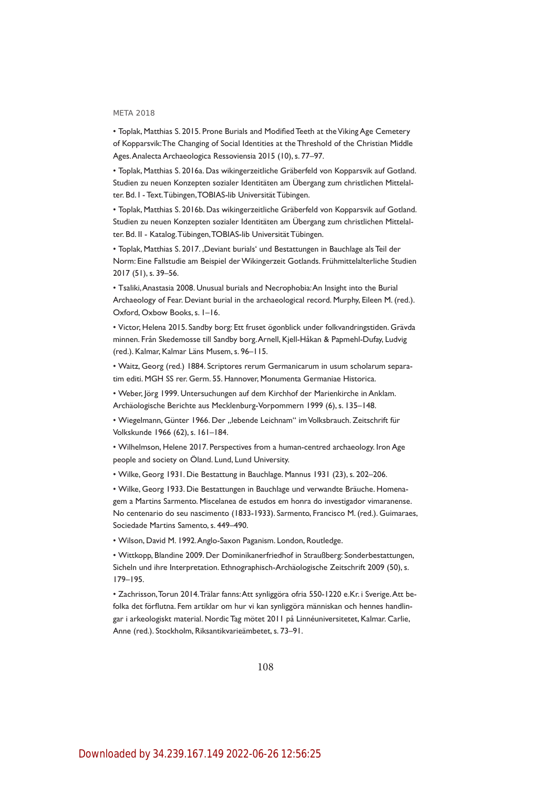• Toplak, Matthias S. 2015. Prone Burials and Modified Teeth at the Viking Age Cemetery of Kopparsvik: The Changing of Social Identities at the Threshold of the Christian Middle Ages. Analecta Archaeologica Ressoviensia 2015 (10), s. 77–97.

• Toplak, Matthias S. 2016a. Das wikingerzeitliche Gräberfeld von Kopparsvik auf Gotland. Studien zu neuen Konzepten sozialer Identitäten am Übergang zum christlichen Mittelalter. Bd. I - Text. Tübingen, TOBIAS-lib Universität Tübingen.

• Toplak, Matthias S. 2016b. Das wikingerzeitliche Gräberfeld von Kopparsvik auf Gotland. Studien zu neuen Konzepten sozialer Identitäten am Übergang zum christlichen Mittelalter. Bd. II - Katalog. Tübingen, TOBIAS-lib Universität Tübingen.

• Toplak, Matthias S. 2017. ,Deviant burials' und Bestattungen in Bauchlage als Teil der Norm: Eine Fallstudie am Beispiel der Wikingerzeit Gotlands. Frühmittelalterliche Studien 2017 (51), s. 39–56.

• Tsaliki, Anastasia 2008. Unusual burials and Necrophobia: An Insight into the Burial Archaeology of Fear. Deviant burial in the archaeological record. Murphy, Eileen M. (red.). Oxford, Oxbow Books, s. 1–16.

• Victor, Helena 2015. Sandby borg: Ett fruset ögonblick under folkvandringstiden. Grävda minnen. Från Skedemosse till Sandby borg. Arnell, Kjell-Håkan & Papmehl-Dufay, Ludvig (red.). Kalmar, Kalmar Läns Musem, s. 96–115.

• Waitz, Georg (red.) 1884. Scriptores rerum Germanicarum in usum scholarum separatim editi. MGH SS rer. Germ. 55. Hannover, Monumenta Germaniae Historica.

• Weber, Jörg 1999. Untersuchungen auf dem Kirchhof der Marienkirche in Anklam. Archäologische Berichte aus Mecklenburg-Vorpommern 1999 (6), s. 135–148.

• Wiegelmann, Günter 1966. Der "lebende Leichnam" im Volksbrauch. Zeitschrift für Volkskunde 1966 (62), s. 161–184.

• Wilhelmson, Helene 2017. Perspectives from a human-centred archaeology. Iron Age people and society on Öland. Lund, Lund University.

• Wilke, Georg 1931. Die Bestattung in Bauchlage. Mannus 1931 (23), s. 202–206.

• Wilke, Georg 1933. Die Bestattungen in Bauchlage und verwandte Bräuche. Homenagem a Martins Sarmento. Miscelanea de estudos em honra do investigador vimaranense. No centenario do seu nascimento (1833-1933). Sarmento, Francisco M. (red.). Guimaraes, Sociedade Martins Samento, s. 449–490.

• Wilson, David M. 1992. Anglo-Saxon Paganism. London, Routledge.

• Wittkopp, Blandine 2009. Der Dominikanerfriedhof in Straußberg: Sonderbestattungen, Sicheln und ihre Interpretation. Ethnographisch-Archäologische Zeitschrift 2009 (50), s. 179–195.

• Zachrisson, Torun 2014. Trälar fanns: Att synliggöra ofria 550-1220 e.Kr. i Sverige. Att befolka det förflutna. Fem artiklar om hur vi kan synliggöra människan och hennes handlingar i arkeologiskt material. Nordic Tag mötet 2011 på Linnéuniversitetet, Kalmar. Carlie, Anne (red.). Stockholm, Riksantikvarieämbetet, s. 73–91.